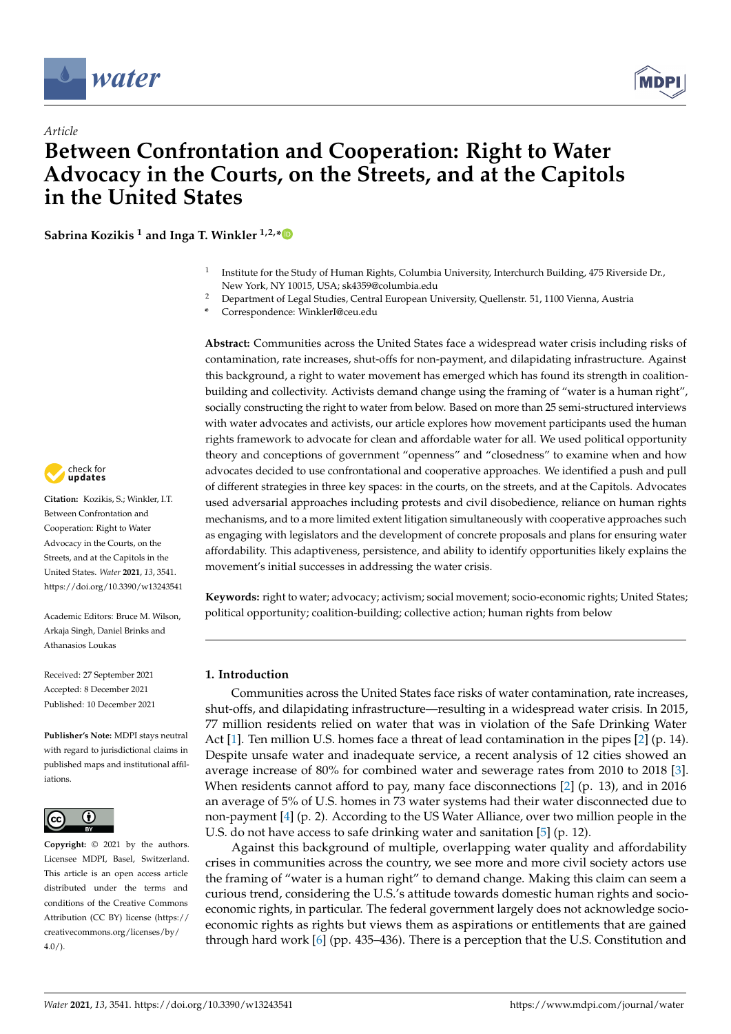

*Article*



# **Between Confrontation and Cooperation: Right to Water Advocacy in the Courts, on the Streets, and at the Capitols in the United States**

**Sabrina Kozikis <sup>1</sup> and Inga T. Winkler 1,2,[\\*](https://orcid.org/0000-0001-5878-4387)**

- 1 Institute for the Study of Human Rights, Columbia University, Interchurch Building, 475 Riverside Dr., New York, NY 10015, USA; sk4359@columbia.edu
- <sup>2</sup> Department of Legal Studies, Central European University, Quellenstr. 51, 1100 Vienna, Austria
- **\*** Correspondence: WinklerI@ceu.edu

**Abstract:** Communities across the United States face a widespread water crisis including risks of contamination, rate increases, shut-offs for non-payment, and dilapidating infrastructure. Against this background, a right to water movement has emerged which has found its strength in coalitionbuilding and collectivity. Activists demand change using the framing of "water is a human right", socially constructing the right to water from below. Based on more than 25 semi-structured interviews with water advocates and activists, our article explores how movement participants used the human rights framework to advocate for clean and affordable water for all. We used political opportunity theory and conceptions of government "openness" and "closedness" to examine when and how advocates decided to use confrontational and cooperative approaches. We identified a push and pull of different strategies in three key spaces: in the courts, on the streets, and at the Capitols. Advocates used adversarial approaches including protests and civil disobedience, reliance on human rights mechanisms, and to a more limited extent litigation simultaneously with cooperative approaches such as engaging with legislators and the development of concrete proposals and plans for ensuring water affordability. This adaptiveness, persistence, and ability to identify opportunities likely explains the movement's initial successes in addressing the water crisis.

**Keywords:** right to water; advocacy; activism; social movement; socio-economic rights; United States; political opportunity; coalition-building; collective action; human rights from below

# **1. Introduction**

Communities across the United States face risks of water contamination, rate increases, shut-offs, and dilapidating infrastructure—resulting in a widespread water crisis. In 2015, 77 million residents relied on water that was in violation of the Safe Drinking Water Act [\[1\]](#page-13-0). Ten million U.S. homes face a threat of lead contamination in the pipes [\[2\]](#page-13-1) (p. 14). Despite unsafe water and inadequate service, a recent analysis of 12 cities showed an average increase of 80% for combined water and sewerage rates from 2010 to 2018 [\[3\]](#page-13-2). When residents cannot afford to pay, many face disconnections  $[2]$  (p. 13), and in 2016 an average of 5% of U.S. homes in 73 water systems had their water disconnected due to non-payment [\[4\]](#page-13-3) (p. 2). According to the US Water Alliance, over two million people in the U.S. do not have access to safe drinking water and sanitation [\[5\]](#page-13-4) (p. 12).

Against this background of multiple, overlapping water quality and affordability crises in communities across the country, we see more and more civil society actors use the framing of "water is a human right" to demand change. Making this claim can seem a curious trend, considering the U.S.'s attitude towards domestic human rights and socioeconomic rights, in particular. The federal government largely does not acknowledge socioeconomic rights as rights but views them as aspirations or entitlements that are gained through hard work [\[6\]](#page-13-5) (pp. 435–436). There is a perception that the U.S. Constitution and



**Citation:** Kozikis, S.; Winkler, I.T. Between Confrontation and Cooperation: Right to Water Advocacy in the Courts, on the Streets, and at the Capitols in the United States. *Water* **2021**, *13*, 3541. <https://doi.org/10.3390/w13243541>

Academic Editors: Bruce M. Wilson, Arkaja Singh, Daniel Brinks and Athanasios Loukas

Received: 27 September 2021 Accepted: 8 December 2021 Published: 10 December 2021

**Publisher's Note:** MDPI stays neutral with regard to jurisdictional claims in published maps and institutional affiliations.



**Copyright:** © 2021 by the authors. Licensee MDPI, Basel, Switzerland. This article is an open access article distributed under the terms and conditions of the Creative Commons Attribution (CC BY) license (https:/[/](https://creativecommons.org/licenses/by/4.0/) [creativecommons.org/licenses/by/](https://creativecommons.org/licenses/by/4.0/)  $4.0/$ ).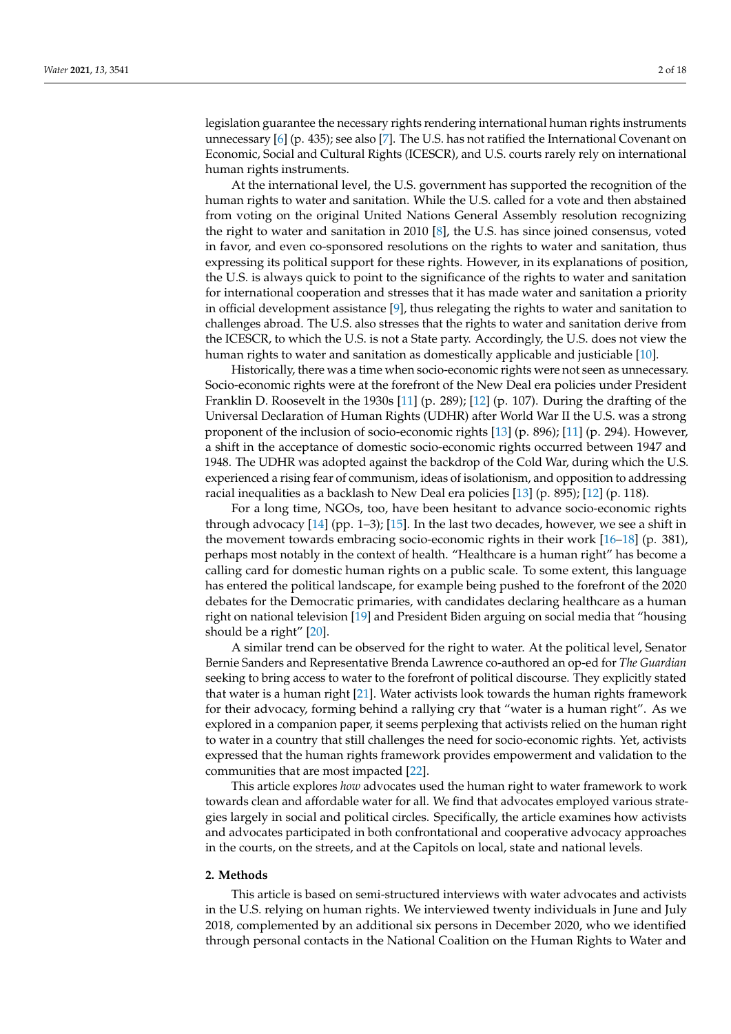legislation guarantee the necessary rights rendering international human rights instruments unnecessary [\[6\]](#page-13-5) (p. 435); see also [\[7\]](#page-13-6). The U.S. has not ratified the International Covenant on Economic, Social and Cultural Rights (ICESCR), and U.S. courts rarely rely on international human rights instruments.

At the international level, the U.S. government has supported the recognition of the human rights to water and sanitation. While the U.S. called for a vote and then abstained from voting on the original United Nations General Assembly resolution recognizing the right to water and sanitation in 2010 [\[8\]](#page-13-7), the U.S. has since joined consensus, voted in favor, and even co-sponsored resolutions on the rights to water and sanitation, thus expressing its political support for these rights. However, in its explanations of position, the U.S. is always quick to point to the significance of the rights to water and sanitation for international cooperation and stresses that it has made water and sanitation a priority in official development assistance [\[9\]](#page-13-8), thus relegating the rights to water and sanitation to challenges abroad. The U.S. also stresses that the rights to water and sanitation derive from the ICESCR, to which the U.S. is not a State party. Accordingly, the U.S. does not view the human rights to water and sanitation as domestically applicable and justiciable [\[10\]](#page-14-0).

Historically, there was a time when socio-economic rights were not seen as unnecessary. Socio-economic rights were at the forefront of the New Deal era policies under President Franklin D. Roosevelt in the 1930s [\[11\]](#page-14-1) (p. 289); [\[12\]](#page-14-2) (p. 107). During the drafting of the Universal Declaration of Human Rights (UDHR) after World War II the U.S. was a strong proponent of the inclusion of socio-economic rights [\[13\]](#page-14-3) (p. 896); [\[11\]](#page-14-1) (p. 294). However, a shift in the acceptance of domestic socio-economic rights occurred between 1947 and 1948. The UDHR was adopted against the backdrop of the Cold War, during which the U.S. experienced a rising fear of communism, ideas of isolationism, and opposition to addressing racial inequalities as a backlash to New Deal era policies [\[13\]](#page-14-3) (p. 895); [\[12\]](#page-14-2) (p. 118).

For a long time, NGOs, too, have been hesitant to advance socio-economic rights through advocacy  $[14]$  (pp. 1–3);  $[15]$ . In the last two decades, however, we see a shift in the movement towards embracing socio-economic rights in their work [\[16–](#page-14-6)[18\]](#page-14-7) (p. 381), perhaps most notably in the context of health. "Healthcare is a human right" has become a calling card for domestic human rights on a public scale. To some extent, this language has entered the political landscape, for example being pushed to the forefront of the 2020 debates for the Democratic primaries, with candidates declaring healthcare as a human right on national television [\[19\]](#page-14-8) and President Biden arguing on social media that "housing should be a right" [\[20\]](#page-14-9).

A similar trend can be observed for the right to water. At the political level, Senator Bernie Sanders and Representative Brenda Lawrence co-authored an op-ed for *The Guardian* seeking to bring access to water to the forefront of political discourse. They explicitly stated that water is a human right [\[21\]](#page-14-10). Water activists look towards the human rights framework for their advocacy, forming behind a rallying cry that "water is a human right". As we explored in a companion paper, it seems perplexing that activists relied on the human right to water in a country that still challenges the need for socio-economic rights. Yet, activists expressed that the human rights framework provides empowerment and validation to the communities that are most impacted [\[22\]](#page-14-11).

This article explores *how* advocates used the human right to water framework to work towards clean and affordable water for all. We find that advocates employed various strategies largely in social and political circles. Specifically, the article examines how activists and advocates participated in both confrontational and cooperative advocacy approaches in the courts, on the streets, and at the Capitols on local, state and national levels.

#### **2. Methods**

This article is based on semi-structured interviews with water advocates and activists in the U.S. relying on human rights. We interviewed twenty individuals in June and July 2018, complemented by an additional six persons in December 2020, who we identified through personal contacts in the National Coalition on the Human Rights to Water and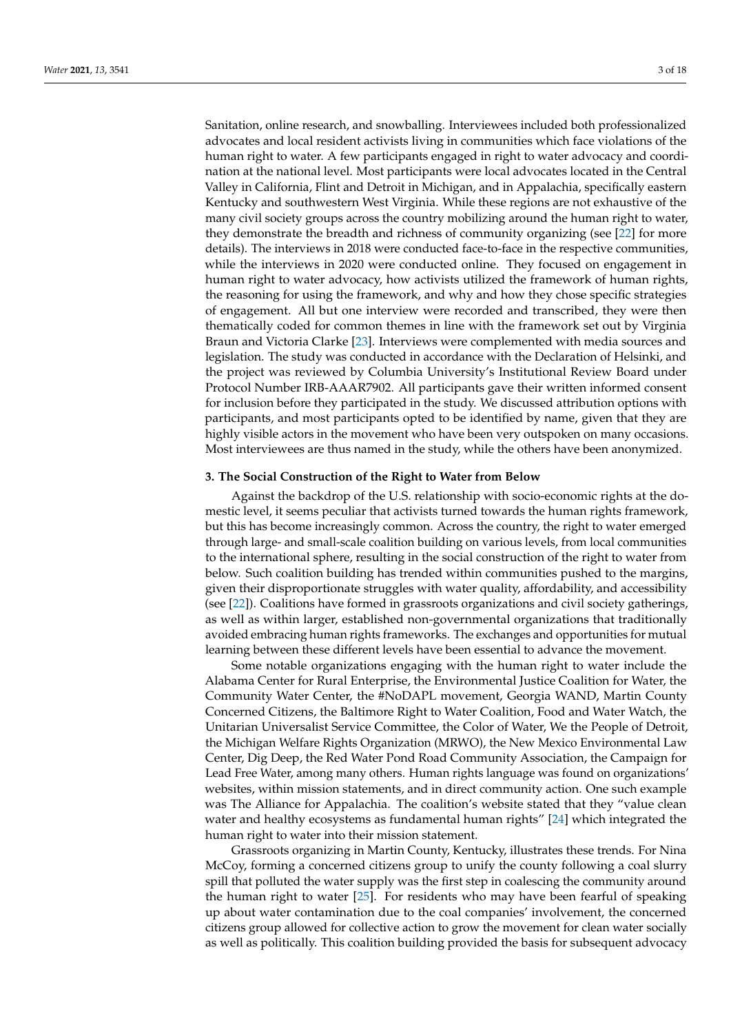Sanitation, online research, and snowballing. Interviewees included both professionalized advocates and local resident activists living in communities which face violations of the human right to water. A few participants engaged in right to water advocacy and coordination at the national level. Most participants were local advocates located in the Central Valley in California, Flint and Detroit in Michigan, and in Appalachia, specifically eastern Kentucky and southwestern West Virginia. While these regions are not exhaustive of the many civil society groups across the country mobilizing around the human right to water, they demonstrate the breadth and richness of community organizing (see [\[22\]](#page-14-11) for more details). The interviews in 2018 were conducted face-to-face in the respective communities, while the interviews in 2020 were conducted online. They focused on engagement in human right to water advocacy, how activists utilized the framework of human rights, the reasoning for using the framework, and why and how they chose specific strategies of engagement. All but one interview were recorded and transcribed, they were then thematically coded for common themes in line with the framework set out by Virginia Braun and Victoria Clarke [\[23\]](#page-14-12). Interviews were complemented with media sources and legislation. The study was conducted in accordance with the Declaration of Helsinki, and the project was reviewed by Columbia University's Institutional Review Board under Protocol Number IRB-AAAR7902. All participants gave their written informed consent for inclusion before they participated in the study. We discussed attribution options with participants, and most participants opted to be identified by name, given that they are highly visible actors in the movement who have been very outspoken on many occasions. Most interviewees are thus named in the study, while the others have been anonymized.

#### **3. The Social Construction of the Right to Water from Below**

Against the backdrop of the U.S. relationship with socio-economic rights at the domestic level, it seems peculiar that activists turned towards the human rights framework, but this has become increasingly common. Across the country, the right to water emerged through large- and small-scale coalition building on various levels, from local communities to the international sphere, resulting in the social construction of the right to water from below. Such coalition building has trended within communities pushed to the margins, given their disproportionate struggles with water quality, affordability, and accessibility (see [\[22\]](#page-14-11)). Coalitions have formed in grassroots organizations and civil society gatherings, as well as within larger, established non-governmental organizations that traditionally avoided embracing human rights frameworks. The exchanges and opportunities for mutual learning between these different levels have been essential to advance the movement.

Some notable organizations engaging with the human right to water include the Alabama Center for Rural Enterprise, the Environmental Justice Coalition for Water, the Community Water Center, the #NoDAPL movement, Georgia WAND, Martin County Concerned Citizens, the Baltimore Right to Water Coalition, Food and Water Watch, the Unitarian Universalist Service Committee, the Color of Water, We the People of Detroit, the Michigan Welfare Rights Organization (MRWO), the New Mexico Environmental Law Center, Dig Deep, the Red Water Pond Road Community Association, the Campaign for Lead Free Water, among many others. Human rights language was found on organizations' websites, within mission statements, and in direct community action. One such example was The Alliance for Appalachia. The coalition's website stated that they "value clean water and healthy ecosystems as fundamental human rights" [\[24\]](#page-14-13) which integrated the human right to water into their mission statement.

Grassroots organizing in Martin County, Kentucky, illustrates these trends. For Nina McCoy, forming a concerned citizens group to unify the county following a coal slurry spill that polluted the water supply was the first step in coalescing the community around the human right to water [\[25\]](#page-14-14). For residents who may have been fearful of speaking up about water contamination due to the coal companies' involvement, the concerned citizens group allowed for collective action to grow the movement for clean water socially as well as politically. This coalition building provided the basis for subsequent advocacy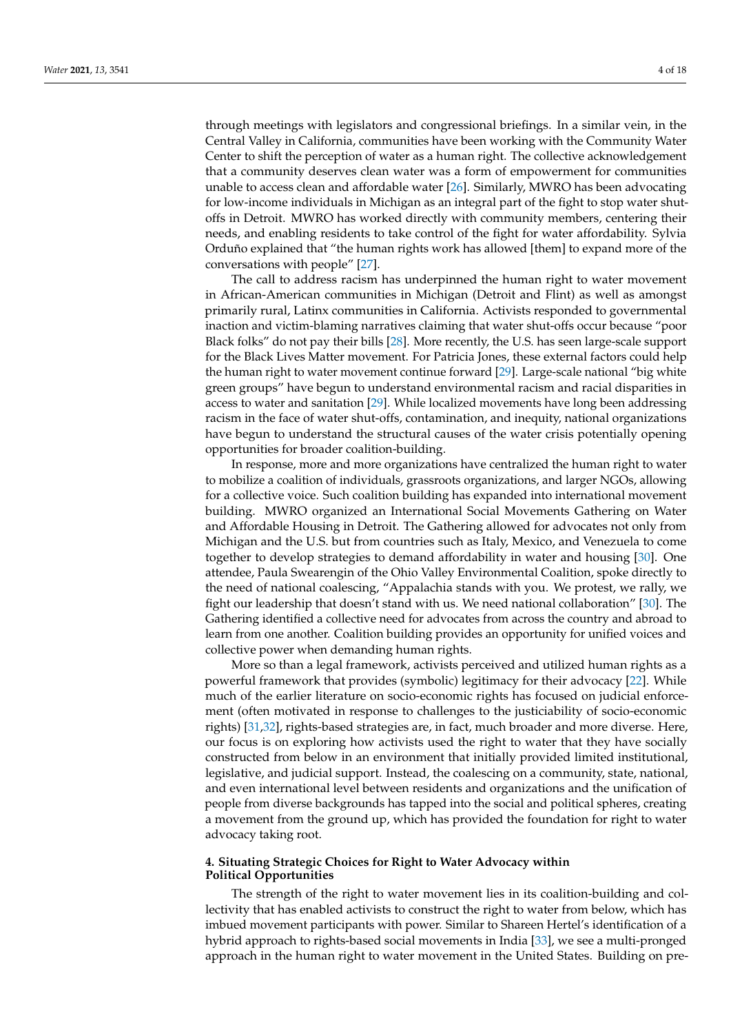through meetings with legislators and congressional briefings. In a similar vein, in the Central Valley in California, communities have been working with the Community Water Center to shift the perception of water as a human right. The collective acknowledgement that a community deserves clean water was a form of empowerment for communities unable to access clean and affordable water [\[26\]](#page-14-15). Similarly, MWRO has been advocating for low-income individuals in Michigan as an integral part of the fight to stop water shutoffs in Detroit. MWRO has worked directly with community members, centering their needs, and enabling residents to take control of the fight for water affordability. Sylvia Orduño explained that "the human rights work has allowed [them] to expand more of the conversations with people" [\[27\]](#page-14-16).

The call to address racism has underpinned the human right to water movement in African-American communities in Michigan (Detroit and Flint) as well as amongst primarily rural, Latinx communities in California. Activists responded to governmental inaction and victim-blaming narratives claiming that water shut-offs occur because "poor Black folks" do not pay their bills [\[28\]](#page-14-17). More recently, the U.S. has seen large-scale support for the Black Lives Matter movement. For Patricia Jones, these external factors could help the human right to water movement continue forward [\[29\]](#page-14-18). Large-scale national "big white green groups" have begun to understand environmental racism and racial disparities in access to water and sanitation [\[29\]](#page-14-18). While localized movements have long been addressing racism in the face of water shut-offs, contamination, and inequity, national organizations have begun to understand the structural causes of the water crisis potentially opening opportunities for broader coalition-building.

In response, more and more organizations have centralized the human right to water to mobilize a coalition of individuals, grassroots organizations, and larger NGOs, allowing for a collective voice. Such coalition building has expanded into international movement building. MWRO organized an International Social Movements Gathering on Water and Affordable Housing in Detroit. The Gathering allowed for advocates not only from Michigan and the U.S. but from countries such as Italy, Mexico, and Venezuela to come together to develop strategies to demand affordability in water and housing [\[30\]](#page-14-19). One attendee, Paula Swearengin of the Ohio Valley Environmental Coalition, spoke directly to the need of national coalescing, "Appalachia stands with you. We protest, we rally, we fight our leadership that doesn't stand with us. We need national collaboration" [\[30\]](#page-14-19). The Gathering identified a collective need for advocates from across the country and abroad to learn from one another. Coalition building provides an opportunity for unified voices and collective power when demanding human rights.

More so than a legal framework, activists perceived and utilized human rights as a powerful framework that provides (symbolic) legitimacy for their advocacy [\[22\]](#page-14-11). While much of the earlier literature on socio-economic rights has focused on judicial enforcement (often motivated in response to challenges to the justiciability of socio-economic rights) [\[31](#page-14-20)[,32\]](#page-14-21), rights-based strategies are, in fact, much broader and more diverse. Here, our focus is on exploring how activists used the right to water that they have socially constructed from below in an environment that initially provided limited institutional, legislative, and judicial support. Instead, the coalescing on a community, state, national, and even international level between residents and organizations and the unification of people from diverse backgrounds has tapped into the social and political spheres, creating a movement from the ground up, which has provided the foundation for right to water advocacy taking root.

## **4. Situating Strategic Choices for Right to Water Advocacy within Political Opportunities**

The strength of the right to water movement lies in its coalition-building and collectivity that has enabled activists to construct the right to water from below, which has imbued movement participants with power. Similar to Shareen Hertel's identification of a hybrid approach to rights-based social movements in India [\[33\]](#page-14-22), we see a multi-pronged approach in the human right to water movement in the United States. Building on pre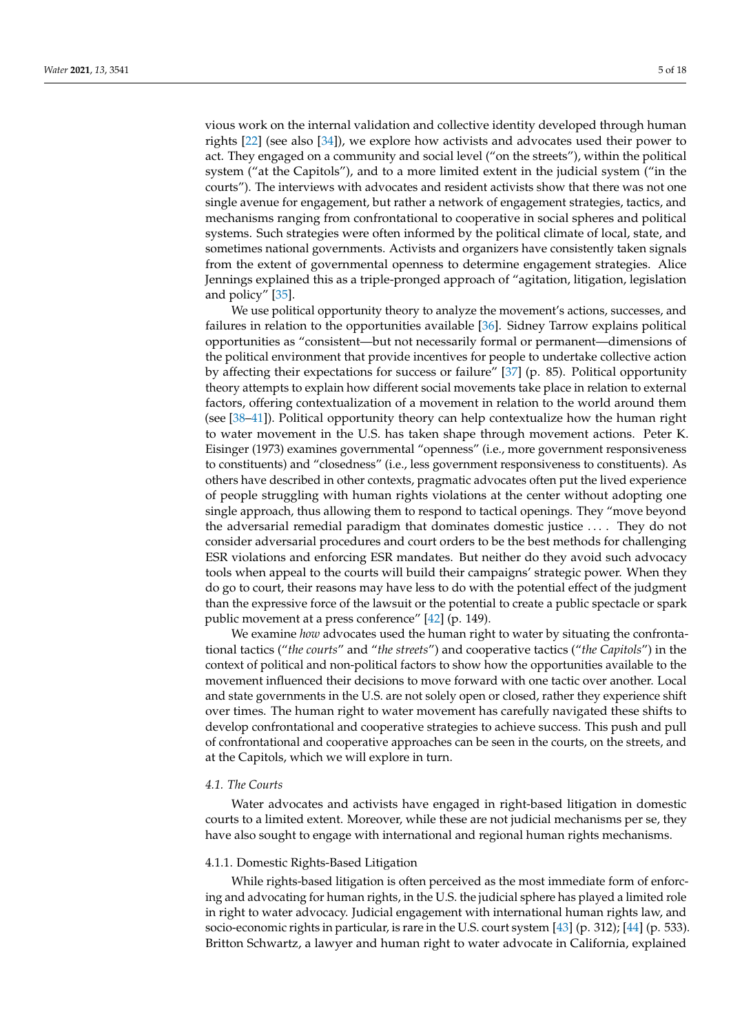vious work on the internal validation and collective identity developed through human rights [\[22\]](#page-14-11) (see also [\[34\]](#page-14-23)), we explore how activists and advocates used their power to act. They engaged on a community and social level ("on the streets"), within the political system ("at the Capitols"), and to a more limited extent in the judicial system ("in the courts"). The interviews with advocates and resident activists show that there was not one single avenue for engagement, but rather a network of engagement strategies, tactics, and mechanisms ranging from confrontational to cooperative in social spheres and political systems. Such strategies were often informed by the political climate of local, state, and sometimes national governments. Activists and organizers have consistently taken signals from the extent of governmental openness to determine engagement strategies. Alice Jennings explained this as a triple-pronged approach of "agitation, litigation, legislation and policy" [\[35\]](#page-14-24).

We use political opportunity theory to analyze the movement's actions, successes, and failures in relation to the opportunities available [\[36\]](#page-14-25). Sidney Tarrow explains political opportunities as "consistent—but not necessarily formal or permanent—dimensions of the political environment that provide incentives for people to undertake collective action by affecting their expectations for success or failure" [\[37\]](#page-14-26) (p. 85). Political opportunity theory attempts to explain how different social movements take place in relation to external factors, offering contextualization of a movement in relation to the world around them (see [\[38–](#page-14-27)[41\]](#page-14-28)). Political opportunity theory can help contextualize how the human right to water movement in the U.S. has taken shape through movement actions. Peter K. Eisinger (1973) examines governmental "openness" (i.e., more government responsiveness to constituents) and "closedness" (i.e., less government responsiveness to constituents). As others have described in other contexts, pragmatic advocates often put the lived experience of people struggling with human rights violations at the center without adopting one single approach, thus allowing them to respond to tactical openings. They "move beyond the adversarial remedial paradigm that dominates domestic justice . . . . They do not consider adversarial procedures and court orders to be the best methods for challenging ESR violations and enforcing ESR mandates. But neither do they avoid such advocacy tools when appeal to the courts will build their campaigns' strategic power. When they do go to court, their reasons may have less to do with the potential effect of the judgment than the expressive force of the lawsuit or the potential to create a public spectacle or spark public movement at a press conference" [\[42\]](#page-14-29) (p. 149).

We examine *how* advocates used the human right to water by situating the confrontational tactics ("*the courts*" and "*the streets*") and cooperative tactics ("*the Capitols*") in the context of political and non-political factors to show how the opportunities available to the movement influenced their decisions to move forward with one tactic over another. Local and state governments in the U.S. are not solely open or closed, rather they experience shift over times. The human right to water movement has carefully navigated these shifts to develop confrontational and cooperative strategies to achieve success. This push and pull of confrontational and cooperative approaches can be seen in the courts, on the streets, and at the Capitols, which we will explore in turn.

# *4.1. The Courts*

Water advocates and activists have engaged in right-based litigation in domestic courts to a limited extent. Moreover, while these are not judicial mechanisms per se, they have also sought to engage with international and regional human rights mechanisms.

#### 4.1.1. Domestic Rights-Based Litigation

While rights-based litigation is often perceived as the most immediate form of enforcing and advocating for human rights, in the U.S. the judicial sphere has played a limited role in right to water advocacy. Judicial engagement with international human rights law, and socio-economic rights in particular, is rare in the U.S. court system [\[43\]](#page-14-30) (p. 312); [\[44\]](#page-14-31) (p. 533). Britton Schwartz, a lawyer and human right to water advocate in California, explained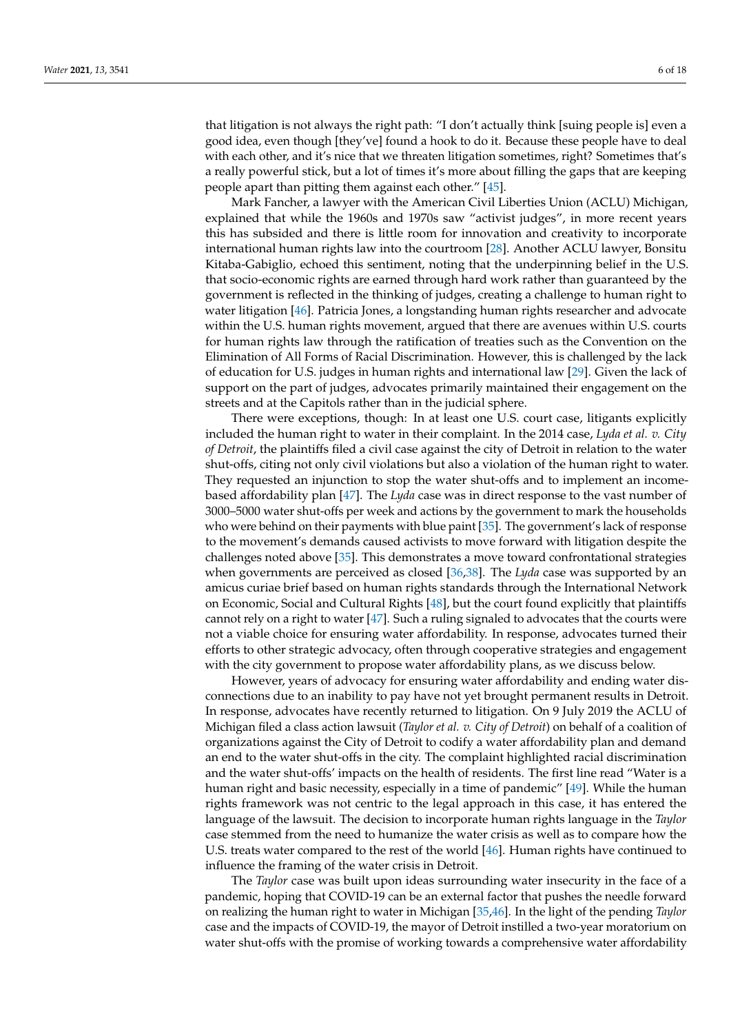that litigation is not always the right path: "I don't actually think [suing people is] even a good idea, even though [they've] found a hook to do it. Because these people have to deal with each other, and it's nice that we threaten litigation sometimes, right? Sometimes that's a really powerful stick, but a lot of times it's more about filling the gaps that are keeping people apart than pitting them against each other." [\[45\]](#page-15-0).

Mark Fancher, a lawyer with the American Civil Liberties Union (ACLU) Michigan, explained that while the 1960s and 1970s saw "activist judges", in more recent years this has subsided and there is little room for innovation and creativity to incorporate international human rights law into the courtroom [\[28\]](#page-14-17). Another ACLU lawyer, Bonsitu Kitaba-Gabiglio, echoed this sentiment, noting that the underpinning belief in the U.S. that socio-economic rights are earned through hard work rather than guaranteed by the government is reflected in the thinking of judges, creating a challenge to human right to water litigation [\[46\]](#page-15-1). Patricia Jones, a longstanding human rights researcher and advocate within the U.S. human rights movement, argued that there are avenues within U.S. courts for human rights law through the ratification of treaties such as the Convention on the Elimination of All Forms of Racial Discrimination. However, this is challenged by the lack of education for U.S. judges in human rights and international law [\[29\]](#page-14-18). Given the lack of support on the part of judges, advocates primarily maintained their engagement on the streets and at the Capitols rather than in the judicial sphere.

There were exceptions, though: In at least one U.S. court case, litigants explicitly included the human right to water in their complaint. In the 2014 case, *Lyda et al. v. City of Detroit*, the plaintiffs filed a civil case against the city of Detroit in relation to the water shut-offs, citing not only civil violations but also a violation of the human right to water. They requested an injunction to stop the water shut-offs and to implement an incomebased affordability plan [\[47\]](#page-15-2). The *Lyda* case was in direct response to the vast number of 3000–5000 water shut-offs per week and actions by the government to mark the households who were behind on their payments with blue paint [\[35\]](#page-14-24). The government's lack of response to the movement's demands caused activists to move forward with litigation despite the challenges noted above [\[35\]](#page-14-24). This demonstrates a move toward confrontational strategies when governments are perceived as closed [\[36,](#page-14-25)[38\]](#page-14-27). The *Lyda* case was supported by an amicus curiae brief based on human rights standards through the International Network on Economic, Social and Cultural Rights [\[48\]](#page-15-3), but the court found explicitly that plaintiffs cannot rely on a right to water [\[47\]](#page-15-2). Such a ruling signaled to advocates that the courts were not a viable choice for ensuring water affordability. In response, advocates turned their efforts to other strategic advocacy, often through cooperative strategies and engagement with the city government to propose water affordability plans, as we discuss below.

However, years of advocacy for ensuring water affordability and ending water disconnections due to an inability to pay have not yet brought permanent results in Detroit. In response, advocates have recently returned to litigation. On 9 July 2019 the ACLU of Michigan filed a class action lawsuit (*Taylor et al. v. City of Detroit*) on behalf of a coalition of organizations against the City of Detroit to codify a water affordability plan and demand an end to the water shut-offs in the city. The complaint highlighted racial discrimination and the water shut-offs' impacts on the health of residents. The first line read "Water is a human right and basic necessity, especially in a time of pandemic" [\[49\]](#page-15-4). While the human rights framework was not centric to the legal approach in this case, it has entered the language of the lawsuit. The decision to incorporate human rights language in the *Taylor* case stemmed from the need to humanize the water crisis as well as to compare how the U.S. treats water compared to the rest of the world [\[46\]](#page-15-1). Human rights have continued to influence the framing of the water crisis in Detroit.

The *Taylor* case was built upon ideas surrounding water insecurity in the face of a pandemic, hoping that COVID-19 can be an external factor that pushes the needle forward on realizing the human right to water in Michigan [\[35](#page-14-24)[,46\]](#page-15-1). In the light of the pending *Taylor* case and the impacts of COVID-19, the mayor of Detroit instilled a two-year moratorium on water shut-offs with the promise of working towards a comprehensive water affordability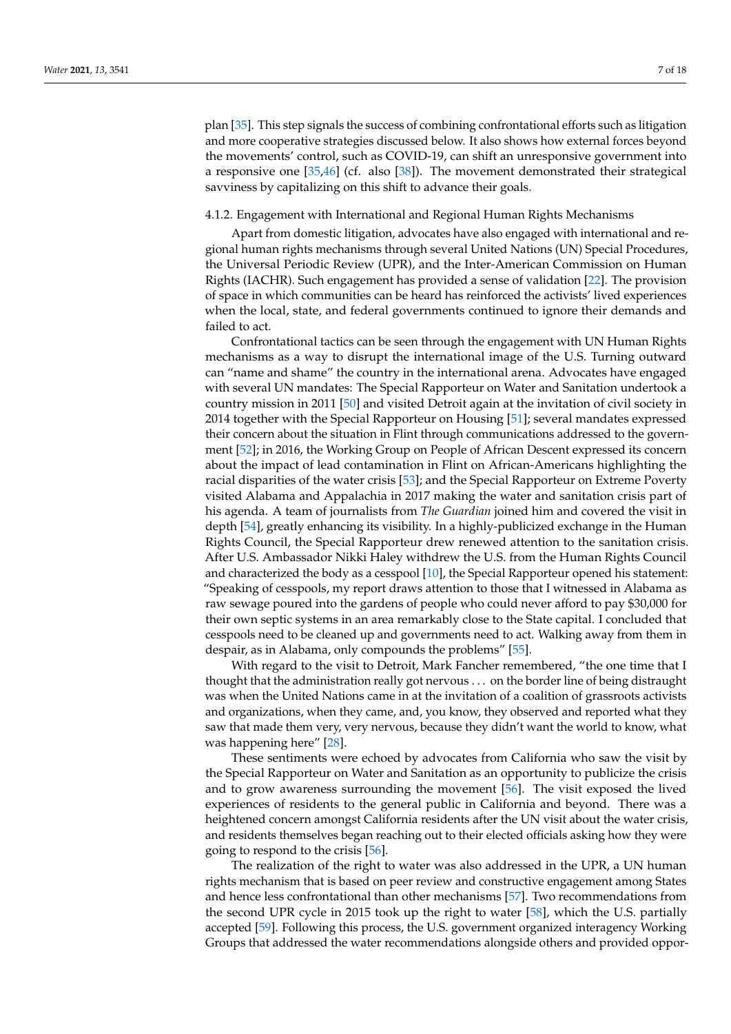plan [\[35\]](#page-14-24). This step signals the success of combining confrontational efforts such as litigation and more cooperative strategies discussed below. It also shows how external forces beyond the movements' control, such as COVID-19, can shift an unresponsive government into a responsive one [\[35](#page-14-24)[,46\]](#page-15-1) (cf. also [\[38\]](#page-14-27)). The movement demonstrated their strategical savviness by capitalizing on this shift to advance their goals.

# 4.1.2. Engagement with International and Regional Human Rights Mechanisms

Apart from domestic litigation, advocates have also engaged with international and regional human rights mechanisms through several United Nations (UN) Special Procedures, the Universal Periodic Review (UPR), and the Inter-American Commission on Human Rights (IACHR). Such engagement has provided a sense of validation [\[22\]](#page-14-11). The provision of space in which communities can be heard has reinforced the activists' lived experiences when the local, state, and federal governments continued to ignore their demands and failed to act.

Confrontational tactics can be seen through the engagement with UN Human Rights mechanisms as a way to disrupt the international image of the U.S. Turning outward can "name and shame" the country in the international arena. Advocates have engaged with several UN mandates: The Special Rapporteur on Water and Sanitation undertook a country mission in 2011 [\[50\]](#page-15-5) and visited Detroit again at the invitation of civil society in 2014 together with the Special Rapporteur on Housing [\[51\]](#page-15-6); several mandates expressed their concern about the situation in Flint through communications addressed to the government [\[52\]](#page-15-7); in 2016, the Working Group on People of African Descent expressed its concern about the impact of lead contamination in Flint on African-Americans highlighting the racial disparities of the water crisis [\[53\]](#page-15-8); and the Special Rapporteur on Extreme Poverty visited Alabama and Appalachia in 2017 making the water and sanitation crisis part of his agenda. A team of journalists from *The Guardian* joined him and covered the visit in depth [\[54\]](#page-15-9), greatly enhancing its visibility. In a highly-publicized exchange in the Human Rights Council, the Special Rapporteur drew renewed attention to the sanitation crisis. After U.S. Ambassador Nikki Haley withdrew the U.S. from the Human Rights Council and characterized the body as a cesspool [\[10\]](#page-14-0), the Special Rapporteur opened his statement: "Speaking of cesspools, my report draws attention to those that I witnessed in Alabama as raw sewage poured into the gardens of people who could never afford to pay \$30,000 for their own septic systems in an area remarkably close to the State capital. I concluded that cesspools need to be cleaned up and governments need to act. Walking away from them in despair, as in Alabama, only compounds the problems" [\[55\]](#page-15-10).

With regard to the visit to Detroit, Mark Fancher remembered, "the one time that I thought that the administration really got nervous . . . on the border line of being distraught was when the United Nations came in at the invitation of a coalition of grassroots activists and organizations, when they came, and, you know, they observed and reported what they saw that made them very, very nervous, because they didn't want the world to know, what was happening here" [\[28\]](#page-14-17).

These sentiments were echoed by advocates from California who saw the visit by the Special Rapporteur on Water and Sanitation as an opportunity to publicize the crisis and to grow awareness surrounding the movement [\[56\]](#page-15-11). The visit exposed the lived experiences of residents to the general public in California and beyond. There was a heightened concern amongst California residents after the UN visit about the water crisis, and residents themselves began reaching out to their elected officials asking how they were going to respond to the crisis [\[56\]](#page-15-11).

The realization of the right to water was also addressed in the UPR, a UN human rights mechanism that is based on peer review and constructive engagement among States and hence less confrontational than other mechanisms [\[57\]](#page-15-12). Two recommendations from the second UPR cycle in 2015 took up the right to water [\[58\]](#page-15-13), which the U.S. partially accepted [\[59\]](#page-15-14). Following this process, the U.S. government organized interagency Working Groups that addressed the water recommendations alongside others and provided oppor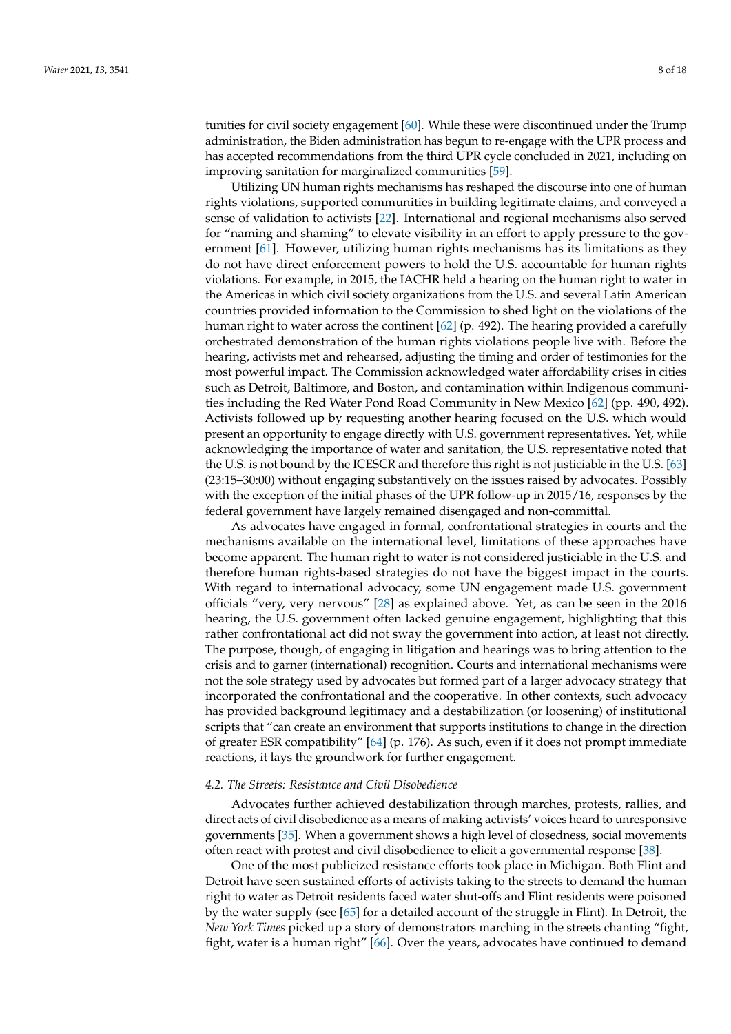tunities for civil society engagement [\[60\]](#page-15-15). While these were discontinued under the Trump administration, the Biden administration has begun to re-engage with the UPR process and has accepted recommendations from the third UPR cycle concluded in 2021, including on improving sanitation for marginalized communities [\[59\]](#page-15-14).

Utilizing UN human rights mechanisms has reshaped the discourse into one of human rights violations, supported communities in building legitimate claims, and conveyed a sense of validation to activists [\[22\]](#page-14-11). International and regional mechanisms also served for "naming and shaming" to elevate visibility in an effort to apply pressure to the government [\[61\]](#page-15-16). However, utilizing human rights mechanisms has its limitations as they do not have direct enforcement powers to hold the U.S. accountable for human rights violations. For example, in 2015, the IACHR held a hearing on the human right to water in the Americas in which civil society organizations from the U.S. and several Latin American countries provided information to the Commission to shed light on the violations of the human right to water across the continent [\[62\]](#page-15-17) (p. 492). The hearing provided a carefully orchestrated demonstration of the human rights violations people live with. Before the hearing, activists met and rehearsed, adjusting the timing and order of testimonies for the most powerful impact. The Commission acknowledged water affordability crises in cities such as Detroit, Baltimore, and Boston, and contamination within Indigenous communities including the Red Water Pond Road Community in New Mexico [\[62\]](#page-15-17) (pp. 490, 492). Activists followed up by requesting another hearing focused on the U.S. which would present an opportunity to engage directly with U.S. government representatives. Yet, while acknowledging the importance of water and sanitation, the U.S. representative noted that the U.S. is not bound by the ICESCR and therefore this right is not justiciable in the U.S. [\[63\]](#page-15-18) (23:15–30:00) without engaging substantively on the issues raised by advocates. Possibly with the exception of the initial phases of the UPR follow-up in 2015/16, responses by the federal government have largely remained disengaged and non-committal.

As advocates have engaged in formal, confrontational strategies in courts and the mechanisms available on the international level, limitations of these approaches have become apparent. The human right to water is not considered justiciable in the U.S. and therefore human rights-based strategies do not have the biggest impact in the courts. With regard to international advocacy, some UN engagement made U.S. government officials "very, very nervous" [\[28\]](#page-14-17) as explained above. Yet, as can be seen in the 2016 hearing, the U.S. government often lacked genuine engagement, highlighting that this rather confrontational act did not sway the government into action, at least not directly. The purpose, though, of engaging in litigation and hearings was to bring attention to the crisis and to garner (international) recognition. Courts and international mechanisms were not the sole strategy used by advocates but formed part of a larger advocacy strategy that incorporated the confrontational and the cooperative. In other contexts, such advocacy has provided background legitimacy and a destabilization (or loosening) of institutional scripts that "can create an environment that supports institutions to change in the direction of greater ESR compatibility" [\[64\]](#page-15-19) (p. 176). As such, even if it does not prompt immediate reactions, it lays the groundwork for further engagement.

## *4.2. The Streets: Resistance and Civil Disobedience*

Advocates further achieved destabilization through marches, protests, rallies, and direct acts of civil disobedience as a means of making activists' voices heard to unresponsive governments [\[35\]](#page-14-24). When a government shows a high level of closedness, social movements often react with protest and civil disobedience to elicit a governmental response [\[38\]](#page-14-27).

One of the most publicized resistance efforts took place in Michigan. Both Flint and Detroit have seen sustained efforts of activists taking to the streets to demand the human right to water as Detroit residents faced water shut-offs and Flint residents were poisoned by the water supply (see [\[65\]](#page-15-20) for a detailed account of the struggle in Flint). In Detroit, the *New York Times* picked up a story of demonstrators marching in the streets chanting "fight, fight, water is a human right" [\[66\]](#page-15-21). Over the years, advocates have continued to demand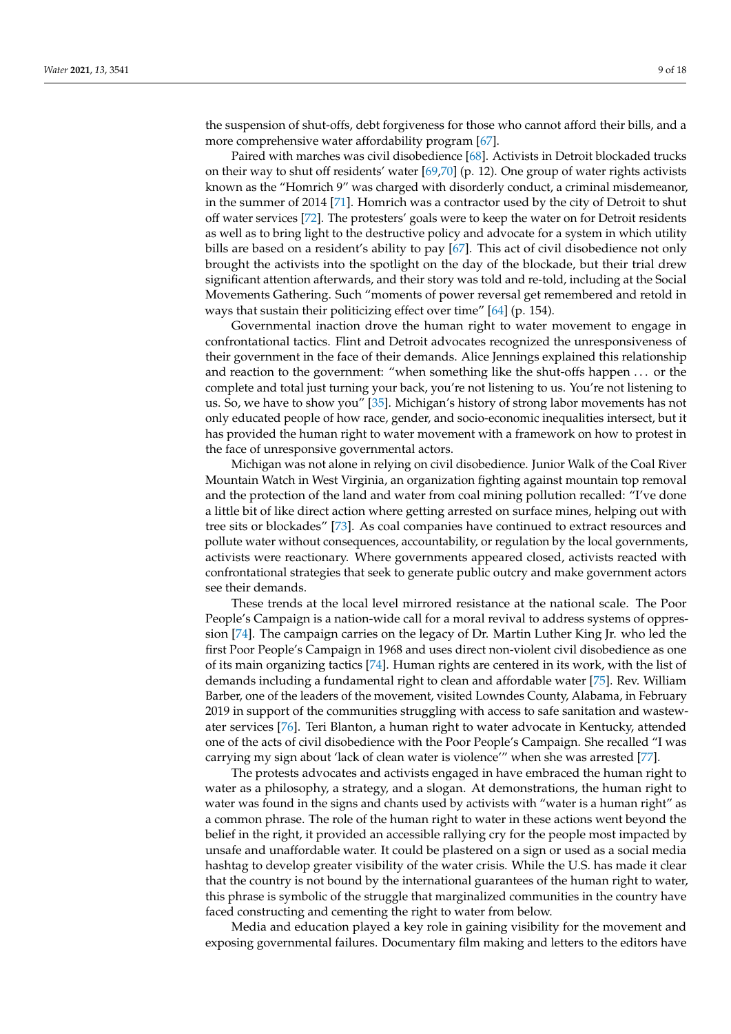the suspension of shut-offs, debt forgiveness for those who cannot afford their bills, and a more comprehensive water affordability program [\[67\]](#page-16-0).

Paired with marches was civil disobedience [\[68\]](#page-16-1). Activists in Detroit blockaded trucks on their way to shut off residents' water [\[69,](#page-16-2)[70\]](#page-16-3) (p. 12). One group of water rights activists known as the "Homrich 9" was charged with disorderly conduct, a criminal misdemeanor, in the summer of 2014 [\[71\]](#page-16-4). Homrich was a contractor used by the city of Detroit to shut off water services [\[72\]](#page-16-5). The protesters' goals were to keep the water on for Detroit residents as well as to bring light to the destructive policy and advocate for a system in which utility bills are based on a resident's ability to pay [\[67\]](#page-16-0). This act of civil disobedience not only brought the activists into the spotlight on the day of the blockade, but their trial drew significant attention afterwards, and their story was told and re-told, including at the Social Movements Gathering. Such "moments of power reversal get remembered and retold in ways that sustain their politicizing effect over time" [\[64\]](#page-15-19) (p. 154).

Governmental inaction drove the human right to water movement to engage in confrontational tactics. Flint and Detroit advocates recognized the unresponsiveness of their government in the face of their demands. Alice Jennings explained this relationship and reaction to the government: "when something like the shut-offs happen . . . or the complete and total just turning your back, you're not listening to us. You're not listening to us. So, we have to show you" [\[35\]](#page-14-24). Michigan's history of strong labor movements has not only educated people of how race, gender, and socio-economic inequalities intersect, but it has provided the human right to water movement with a framework on how to protest in the face of unresponsive governmental actors.

Michigan was not alone in relying on civil disobedience. Junior Walk of the Coal River Mountain Watch in West Virginia, an organization fighting against mountain top removal and the protection of the land and water from coal mining pollution recalled: "I've done a little bit of like direct action where getting arrested on surface mines, helping out with tree sits or blockades" [\[73\]](#page-16-6). As coal companies have continued to extract resources and pollute water without consequences, accountability, or regulation by the local governments, activists were reactionary. Where governments appeared closed, activists reacted with confrontational strategies that seek to generate public outcry and make government actors see their demands.

These trends at the local level mirrored resistance at the national scale. The Poor People's Campaign is a nation-wide call for a moral revival to address systems of oppression [\[74\]](#page-16-7). The campaign carries on the legacy of Dr. Martin Luther King Jr. who led the first Poor People's Campaign in 1968 and uses direct non-violent civil disobedience as one of its main organizing tactics [\[74\]](#page-16-7). Human rights are centered in its work, with the list of demands including a fundamental right to clean and affordable water [\[75\]](#page-16-8). Rev. William Barber, one of the leaders of the movement, visited Lowndes County, Alabama, in February 2019 in support of the communities struggling with access to safe sanitation and wastewater services [\[76\]](#page-16-9). Teri Blanton, a human right to water advocate in Kentucky, attended one of the acts of civil disobedience with the Poor People's Campaign. She recalled "I was carrying my sign about 'lack of clean water is violence'" when she was arrested [\[77\]](#page-16-10).

The protests advocates and activists engaged in have embraced the human right to water as a philosophy, a strategy, and a slogan. At demonstrations, the human right to water was found in the signs and chants used by activists with "water is a human right" as a common phrase. The role of the human right to water in these actions went beyond the belief in the right, it provided an accessible rallying cry for the people most impacted by unsafe and unaffordable water. It could be plastered on a sign or used as a social media hashtag to develop greater visibility of the water crisis. While the U.S. has made it clear that the country is not bound by the international guarantees of the human right to water, this phrase is symbolic of the struggle that marginalized communities in the country have faced constructing and cementing the right to water from below.

Media and education played a key role in gaining visibility for the movement and exposing governmental failures. Documentary film making and letters to the editors have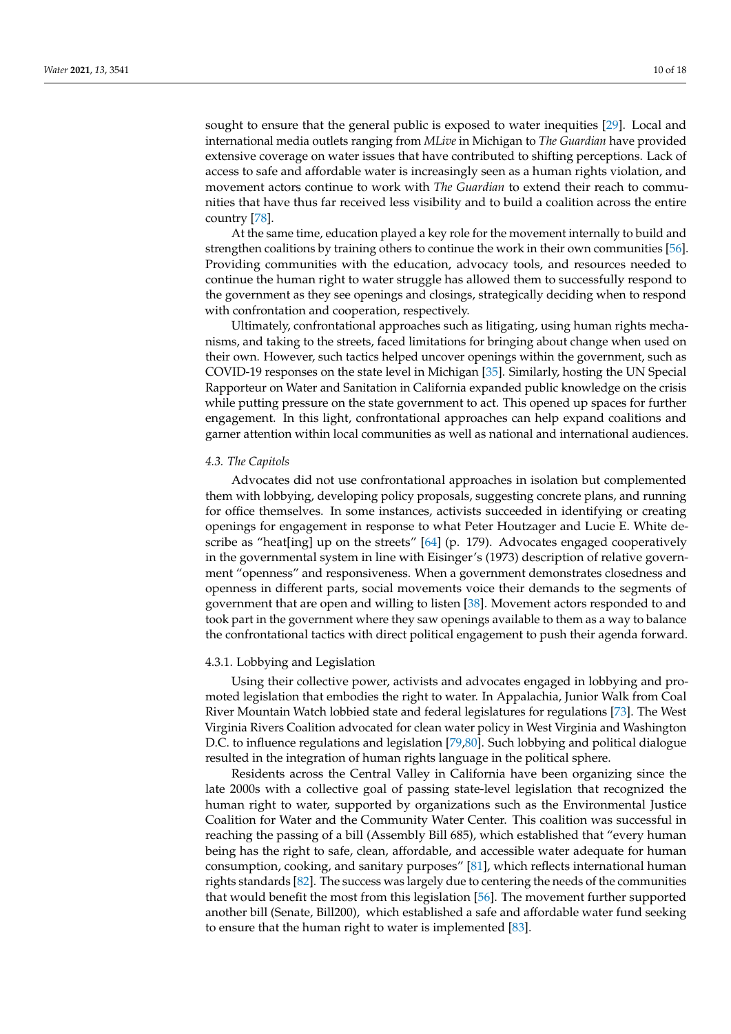sought to ensure that the general public is exposed to water inequities [\[29\]](#page-14-18). Local and international media outlets ranging from *MLive* in Michigan to *The Guardian* have provided extensive coverage on water issues that have contributed to shifting perceptions. Lack of access to safe and affordable water is increasingly seen as a human rights violation, and movement actors continue to work with *The Guardian* to extend their reach to communities that have thus far received less visibility and to build a coalition across the entire country [\[78\]](#page-16-11).

At the same time, education played a key role for the movement internally to build and strengthen coalitions by training others to continue the work in their own communities [\[56\]](#page-15-11). Providing communities with the education, advocacy tools, and resources needed to continue the human right to water struggle has allowed them to successfully respond to the government as they see openings and closings, strategically deciding when to respond with confrontation and cooperation, respectively.

Ultimately, confrontational approaches such as litigating, using human rights mechanisms, and taking to the streets, faced limitations for bringing about change when used on their own. However, such tactics helped uncover openings within the government, such as COVID-19 responses on the state level in Michigan [\[35\]](#page-14-24). Similarly, hosting the UN Special Rapporteur on Water and Sanitation in California expanded public knowledge on the crisis while putting pressure on the state government to act. This opened up spaces for further engagement. In this light, confrontational approaches can help expand coalitions and garner attention within local communities as well as national and international audiences.

## *4.3. The Capitols*

Advocates did not use confrontational approaches in isolation but complemented them with lobbying, developing policy proposals, suggesting concrete plans, and running for office themselves. In some instances, activists succeeded in identifying or creating openings for engagement in response to what Peter Houtzager and Lucie E. White describe as "heat[ing] up on the streets" [\[64\]](#page-15-19) (p. 179). Advocates engaged cooperatively in the governmental system in line with Eisinger's (1973) description of relative government "openness" and responsiveness. When a government demonstrates closedness and openness in different parts, social movements voice their demands to the segments of government that are open and willing to listen [\[38\]](#page-14-27). Movement actors responded to and took part in the government where they saw openings available to them as a way to balance the confrontational tactics with direct political engagement to push their agenda forward.

#### 4.3.1. Lobbying and Legislation

Using their collective power, activists and advocates engaged in lobbying and promoted legislation that embodies the right to water. In Appalachia, Junior Walk from Coal River Mountain Watch lobbied state and federal legislatures for regulations [\[73\]](#page-16-6). The West Virginia Rivers Coalition advocated for clean water policy in West Virginia and Washington D.C. to influence regulations and legislation [\[79](#page-16-12)[,80\]](#page-16-13). Such lobbying and political dialogue resulted in the integration of human rights language in the political sphere.

Residents across the Central Valley in California have been organizing since the late 2000s with a collective goal of passing state-level legislation that recognized the human right to water, supported by organizations such as the Environmental Justice Coalition for Water and the Community Water Center. This coalition was successful in reaching the passing of a bill (Assembly Bill 685), which established that "every human being has the right to safe, clean, affordable, and accessible water adequate for human consumption, cooking, and sanitary purposes" [\[81\]](#page-16-14), which reflects international human rights standards [\[82\]](#page-16-15). The success was largely due to centering the needs of the communities that would benefit the most from this legislation [\[56\]](#page-15-11). The movement further supported another bill (Senate, Bill200), which established a safe and affordable water fund seeking to ensure that the human right to water is implemented [\[83\]](#page-16-16).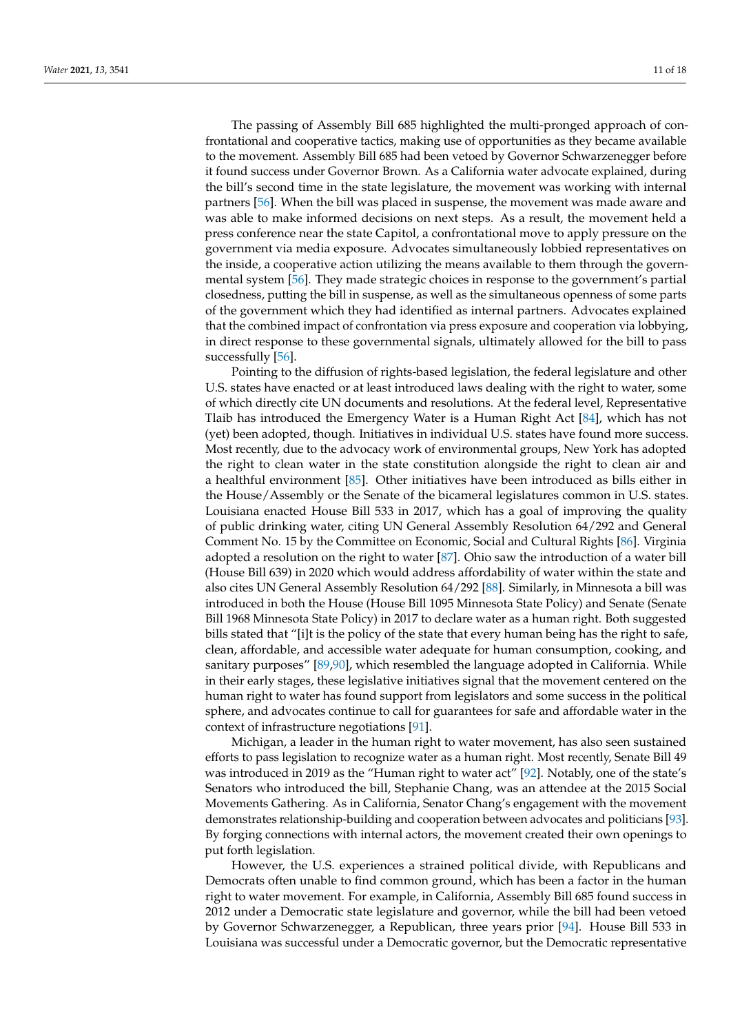The passing of Assembly Bill 685 highlighted the multi-pronged approach of confrontational and cooperative tactics, making use of opportunities as they became available to the movement. Assembly Bill 685 had been vetoed by Governor Schwarzenegger before it found success under Governor Brown. As a California water advocate explained, during the bill's second time in the state legislature, the movement was working with internal partners [\[56\]](#page-15-11). When the bill was placed in suspense, the movement was made aware and was able to make informed decisions on next steps. As a result, the movement held a press conference near the state Capitol, a confrontational move to apply pressure on the government via media exposure. Advocates simultaneously lobbied representatives on the inside, a cooperative action utilizing the means available to them through the governmental system [\[56\]](#page-15-11). They made strategic choices in response to the government's partial closedness, putting the bill in suspense, as well as the simultaneous openness of some parts of the government which they had identified as internal partners. Advocates explained that the combined impact of confrontation via press exposure and cooperation via lobbying, in direct response to these governmental signals, ultimately allowed for the bill to pass successfully [\[56\]](#page-15-11).

Pointing to the diffusion of rights-based legislation, the federal legislature and other U.S. states have enacted or at least introduced laws dealing with the right to water, some of which directly cite UN documents and resolutions. At the federal level, Representative Tlaib has introduced the Emergency Water is a Human Right Act [\[84\]](#page-16-17), which has not (yet) been adopted, though. Initiatives in individual U.S. states have found more success. Most recently, due to the advocacy work of environmental groups, New York has adopted the right to clean water in the state constitution alongside the right to clean air and a healthful environment [\[85\]](#page-16-18). Other initiatives have been introduced as bills either in the House/Assembly or the Senate of the bicameral legislatures common in U.S. states. Louisiana enacted House Bill 533 in 2017, which has a goal of improving the quality of public drinking water, citing UN General Assembly Resolution 64/292 and General Comment No. 15 by the Committee on Economic, Social and Cultural Rights [\[86\]](#page-16-19). Virginia adopted a resolution on the right to water [\[87\]](#page-16-20). Ohio saw the introduction of a water bill (House Bill 639) in 2020 which would address affordability of water within the state and also cites UN General Assembly Resolution 64/292 [\[88\]](#page-16-21). Similarly, in Minnesota a bill was introduced in both the House (House Bill 1095 Minnesota State Policy) and Senate (Senate Bill 1968 Minnesota State Policy) in 2017 to declare water as a human right. Both suggested bills stated that "[i]t is the policy of the state that every human being has the right to safe, clean, affordable, and accessible water adequate for human consumption, cooking, and sanitary purposes" [\[89,](#page-16-22)[90\]](#page-16-23), which resembled the language adopted in California. While in their early stages, these legislative initiatives signal that the movement centered on the human right to water has found support from legislators and some success in the political sphere, and advocates continue to call for guarantees for safe and affordable water in the context of infrastructure negotiations [\[91\]](#page-16-24).

Michigan, a leader in the human right to water movement, has also seen sustained efforts to pass legislation to recognize water as a human right. Most recently, Senate Bill 49 was introduced in 2019 as the "Human right to water act" [\[92\]](#page-16-25). Notably, one of the state's Senators who introduced the bill, Stephanie Chang, was an attendee at the 2015 Social Movements Gathering. As in California, Senator Chang's engagement with the movement demonstrates relationship-building and cooperation between advocates and politicians [\[93\]](#page-16-26). By forging connections with internal actors, the movement created their own openings to put forth legislation.

However, the U.S. experiences a strained political divide, with Republicans and Democrats often unable to find common ground, which has been a factor in the human right to water movement. For example, in California, Assembly Bill 685 found success in 2012 under a Democratic state legislature and governor, while the bill had been vetoed by Governor Schwarzenegger, a Republican, three years prior [\[94\]](#page-16-27). House Bill 533 in Louisiana was successful under a Democratic governor, but the Democratic representative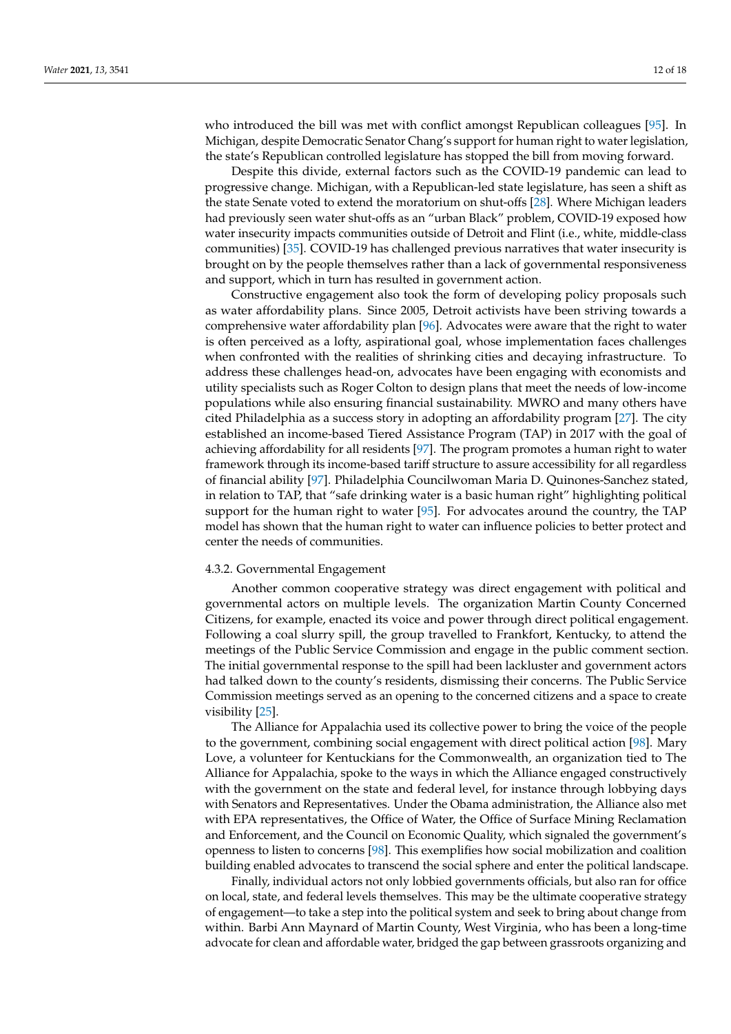who introduced the bill was met with conflict amongst Republican colleagues [\[95\]](#page-16-28). In Michigan, despite Democratic Senator Chang's support for human right to water legislation, the state's Republican controlled legislature has stopped the bill from moving forward.

Despite this divide, external factors such as the COVID-19 pandemic can lead to progressive change. Michigan, with a Republican-led state legislature, has seen a shift as the state Senate voted to extend the moratorium on shut-offs [\[28\]](#page-14-17). Where Michigan leaders had previously seen water shut-offs as an "urban Black" problem, COVID-19 exposed how water insecurity impacts communities outside of Detroit and Flint (i.e., white, middle-class communities) [\[35\]](#page-14-24). COVID-19 has challenged previous narratives that water insecurity is brought on by the people themselves rather than a lack of governmental responsiveness and support, which in turn has resulted in government action.

Constructive engagement also took the form of developing policy proposals such as water affordability plans. Since 2005, Detroit activists have been striving towards a comprehensive water affordability plan [\[96\]](#page-17-0). Advocates were aware that the right to water is often perceived as a lofty, aspirational goal, whose implementation faces challenges when confronted with the realities of shrinking cities and decaying infrastructure. To address these challenges head-on, advocates have been engaging with economists and utility specialists such as Roger Colton to design plans that meet the needs of low-income populations while also ensuring financial sustainability. MWRO and many others have cited Philadelphia as a success story in adopting an affordability program [\[27\]](#page-14-16). The city established an income-based Tiered Assistance Program (TAP) in 2017 with the goal of achieving affordability for all residents [\[97\]](#page-17-1). The program promotes a human right to water framework through its income-based tariff structure to assure accessibility for all regardless of financial ability [\[97\]](#page-17-1). Philadelphia Councilwoman Maria D. Quinones-Sanchez stated, in relation to TAP, that "safe drinking water is a basic human right" highlighting political support for the human right to water [\[95\]](#page-16-28). For advocates around the country, the TAP model has shown that the human right to water can influence policies to better protect and center the needs of communities.

# 4.3.2. Governmental Engagement

Another common cooperative strategy was direct engagement with political and governmental actors on multiple levels. The organization Martin County Concerned Citizens, for example, enacted its voice and power through direct political engagement. Following a coal slurry spill, the group travelled to Frankfort, Kentucky, to attend the meetings of the Public Service Commission and engage in the public comment section. The initial governmental response to the spill had been lackluster and government actors had talked down to the county's residents, dismissing their concerns. The Public Service Commission meetings served as an opening to the concerned citizens and a space to create visibility [\[25\]](#page-14-14).

The Alliance for Appalachia used its collective power to bring the voice of the people to the government, combining social engagement with direct political action [\[98\]](#page-17-2). Mary Love, a volunteer for Kentuckians for the Commonwealth, an organization tied to The Alliance for Appalachia, spoke to the ways in which the Alliance engaged constructively with the government on the state and federal level, for instance through lobbying days with Senators and Representatives. Under the Obama administration, the Alliance also met with EPA representatives, the Office of Water, the Office of Surface Mining Reclamation and Enforcement, and the Council on Economic Quality, which signaled the government's openness to listen to concerns [\[98\]](#page-17-2). This exemplifies how social mobilization and coalition building enabled advocates to transcend the social sphere and enter the political landscape.

Finally, individual actors not only lobbied governments officials, but also ran for office on local, state, and federal levels themselves. This may be the ultimate cooperative strategy of engagement—to take a step into the political system and seek to bring about change from within. Barbi Ann Maynard of Martin County, West Virginia, who has been a long-time advocate for clean and affordable water, bridged the gap between grassroots organizing and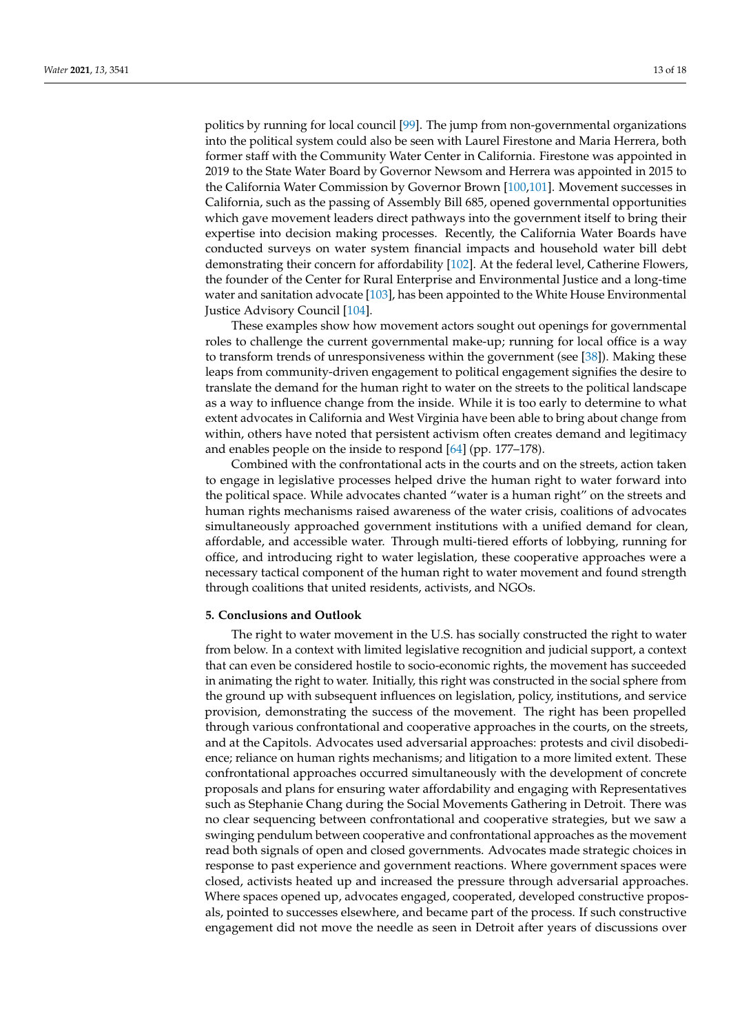politics by running for local council [\[99\]](#page-17-3). The jump from non-governmental organizations into the political system could also be seen with Laurel Firestone and Maria Herrera, both former staff with the Community Water Center in California. Firestone was appointed in 2019 to the State Water Board by Governor Newsom and Herrera was appointed in 2015 to the California Water Commission by Governor Brown [\[100,](#page-17-4)[101\]](#page-17-5). Movement successes in California, such as the passing of Assembly Bill 685, opened governmental opportunities which gave movement leaders direct pathways into the government itself to bring their expertise into decision making processes. Recently, the California Water Boards have conducted surveys on water system financial impacts and household water bill debt demonstrating their concern for affordability [\[102\]](#page-17-6). At the federal level, Catherine Flowers, the founder of the Center for Rural Enterprise and Environmental Justice and a long-time water and sanitation advocate [\[103\]](#page-17-7), has been appointed to the White House Environmental Justice Advisory Council [\[104\]](#page-17-8).

These examples show how movement actors sought out openings for governmental roles to challenge the current governmental make-up; running for local office is a way to transform trends of unresponsiveness within the government (see [\[38\]](#page-14-27)). Making these leaps from community-driven engagement to political engagement signifies the desire to translate the demand for the human right to water on the streets to the political landscape as a way to influence change from the inside. While it is too early to determine to what extent advocates in California and West Virginia have been able to bring about change from within, others have noted that persistent activism often creates demand and legitimacy and enables people on the inside to respond [\[64\]](#page-15-19) (pp. 177–178).

Combined with the confrontational acts in the courts and on the streets, action taken to engage in legislative processes helped drive the human right to water forward into the political space. While advocates chanted "water is a human right" on the streets and human rights mechanisms raised awareness of the water crisis, coalitions of advocates simultaneously approached government institutions with a unified demand for clean, affordable, and accessible water. Through multi-tiered efforts of lobbying, running for office, and introducing right to water legislation, these cooperative approaches were a necessary tactical component of the human right to water movement and found strength through coalitions that united residents, activists, and NGOs.

#### **5. Conclusions and Outlook**

The right to water movement in the U.S. has socially constructed the right to water from below. In a context with limited legislative recognition and judicial support, a context that can even be considered hostile to socio-economic rights, the movement has succeeded in animating the right to water. Initially, this right was constructed in the social sphere from the ground up with subsequent influences on legislation, policy, institutions, and service provision, demonstrating the success of the movement. The right has been propelled through various confrontational and cooperative approaches in the courts, on the streets, and at the Capitols. Advocates used adversarial approaches: protests and civil disobedience; reliance on human rights mechanisms; and litigation to a more limited extent. These confrontational approaches occurred simultaneously with the development of concrete proposals and plans for ensuring water affordability and engaging with Representatives such as Stephanie Chang during the Social Movements Gathering in Detroit. There was no clear sequencing between confrontational and cooperative strategies, but we saw a swinging pendulum between cooperative and confrontational approaches as the movement read both signals of open and closed governments. Advocates made strategic choices in response to past experience and government reactions. Where government spaces were closed, activists heated up and increased the pressure through adversarial approaches. Where spaces opened up, advocates engaged, cooperated, developed constructive proposals, pointed to successes elsewhere, and became part of the process. If such constructive engagement did not move the needle as seen in Detroit after years of discussions over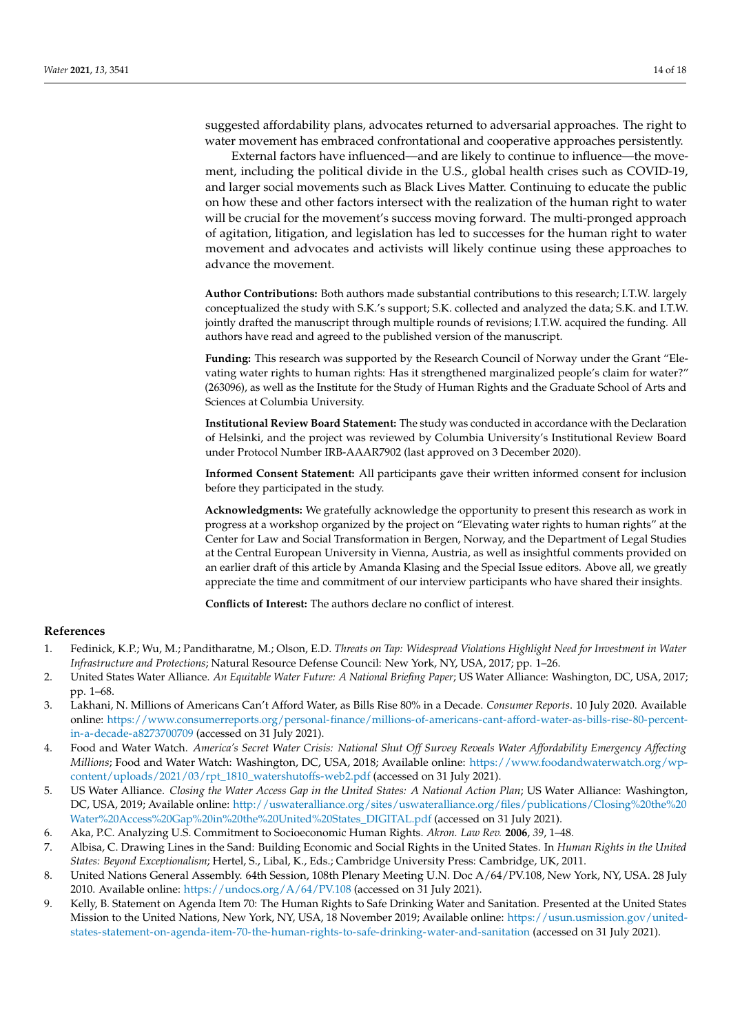suggested affordability plans, advocates returned to adversarial approaches. The right to water movement has embraced confrontational and cooperative approaches persistently.

External factors have influenced—and are likely to continue to influence—the movement, including the political divide in the U.S., global health crises such as COVID-19, and larger social movements such as Black Lives Matter. Continuing to educate the public on how these and other factors intersect with the realization of the human right to water will be crucial for the movement's success moving forward. The multi-pronged approach of agitation, litigation, and legislation has led to successes for the human right to water movement and advocates and activists will likely continue using these approaches to advance the movement.

**Author Contributions:** Both authors made substantial contributions to this research; I.T.W. largely conceptualized the study with S.K.'s support; S.K. collected and analyzed the data; S.K. and I.T.W. jointly drafted the manuscript through multiple rounds of revisions; I.T.W. acquired the funding. All authors have read and agreed to the published version of the manuscript.

**Funding:** This research was supported by the Research Council of Norway under the Grant "Elevating water rights to human rights: Has it strengthened marginalized people's claim for water?" (263096), as well as the Institute for the Study of Human Rights and the Graduate School of Arts and Sciences at Columbia University.

**Institutional Review Board Statement:** The study was conducted in accordance with the Declaration of Helsinki, and the project was reviewed by Columbia University's Institutional Review Board under Protocol Number IRB-AAAR7902 (last approved on 3 December 2020).

**Informed Consent Statement:** All participants gave their written informed consent for inclusion before they participated in the study.

**Acknowledgments:** We gratefully acknowledge the opportunity to present this research as work in progress at a workshop organized by the project on "Elevating water rights to human rights" at the Center for Law and Social Transformation in Bergen, Norway, and the Department of Legal Studies at the Central European University in Vienna, Austria, as well as insightful comments provided on an earlier draft of this article by Amanda Klasing and the Special Issue editors. Above all, we greatly appreciate the time and commitment of our interview participants who have shared their insights.

**Conflicts of Interest:** The authors declare no conflict of interest.

# **References**

- <span id="page-13-0"></span>1. Fedinick, K.P.; Wu, M.; Panditharatne, M.; Olson, E.D. *Threats on Tap: Widespread Violations Highlight Need for Investment in Water Infrastructure and Protections*; Natural Resource Defense Council: New York, NY, USA, 2017; pp. 1–26.
- <span id="page-13-1"></span>2. United States Water Alliance. *An Equitable Water Future: A National Briefing Paper*; US Water Alliance: Washington, DC, USA, 2017; pp. 1–68.
- <span id="page-13-2"></span>3. Lakhani, N. Millions of Americans Can't Afford Water, as Bills Rise 80% in a Decade. *Consumer Reports*. 10 July 2020. Available online: [https://www.consumerreports.org/personal-finance/millions-of-americans-cant-afford-water-as-bills-rise-80-percent](https://www.consumerreports.org/personal-finance/millions-of-americans-cant-afford-water-as-bills-rise-80-percent-in-a-decade-a8273700709)[in-a-decade-a8273700709](https://www.consumerreports.org/personal-finance/millions-of-americans-cant-afford-water-as-bills-rise-80-percent-in-a-decade-a8273700709) (accessed on 31 July 2021).
- <span id="page-13-3"></span>4. Food and Water Watch. *America's Secret Water Crisis: National Shut Off Survey Reveals Water Affordability Emergency Affecting Millions*; Food and Water Watch: Washington, DC, USA, 2018; Available online: [https://www.foodandwaterwatch.org/wp](https://www.foodandwaterwatch.org/wp-content/uploads/2021/03/rpt_1810_watershutoffs-web2.pdf)[content/uploads/2021/03/rpt\\_1810\\_watershutoffs-web2.pdf](https://www.foodandwaterwatch.org/wp-content/uploads/2021/03/rpt_1810_watershutoffs-web2.pdf) (accessed on 31 July 2021).
- <span id="page-13-4"></span>5. US Water Alliance. *Closing the Water Access Gap in the United States: A National Action Plan*; US Water Alliance: Washington, DC, USA, 2019; Available online: [http://uswateralliance.org/sites/uswateralliance.org/files/publications/Closing%20the%20](http://uswateralliance.org/sites/uswateralliance.org/files/publications/Closing%20the%20Water%20Access%20Gap%20in%20the%20United%20States_DIGITAL.pdf) [Water%20Access%20Gap%20in%20the%20United%20States\\_DIGITAL.pdf](http://uswateralliance.org/sites/uswateralliance.org/files/publications/Closing%20the%20Water%20Access%20Gap%20in%20the%20United%20States_DIGITAL.pdf) (accessed on 31 July 2021).
- <span id="page-13-5"></span>6. Aka, P.C. Analyzing U.S. Commitment to Socioeconomic Human Rights. *Akron. Law Rev.* **2006**, *39*, 1–48.
- <span id="page-13-6"></span>7. Albisa, C. Drawing Lines in the Sand: Building Economic and Social Rights in the United States. In *Human Rights in the United States: Beyond Exceptionalism*; Hertel, S., Libal, K., Eds.; Cambridge University Press: Cambridge, UK, 2011.
- <span id="page-13-7"></span>8. United Nations General Assembly. 64th Session, 108th Plenary Meeting U.N. Doc A/64/PV.108, New York, NY, USA. 28 July 2010. Available online: <https://undocs.org/A/64/PV.108> (accessed on 31 July 2021).
- <span id="page-13-8"></span>9. Kelly, B. Statement on Agenda Item 70: The Human Rights to Safe Drinking Water and Sanitation. Presented at the United States Mission to the United Nations, New York, NY, USA, 18 November 2019; Available online: [https://usun.usmission.gov/united](https://usun.usmission.gov/united-states-statement-on-agenda-item-70-the-human-rights-to-safe-drinking-water-and-sanitation)[states-statement-on-agenda-item-70-the-human-rights-to-safe-drinking-water-and-sanitation](https://usun.usmission.gov/united-states-statement-on-agenda-item-70-the-human-rights-to-safe-drinking-water-and-sanitation) (accessed on 31 July 2021).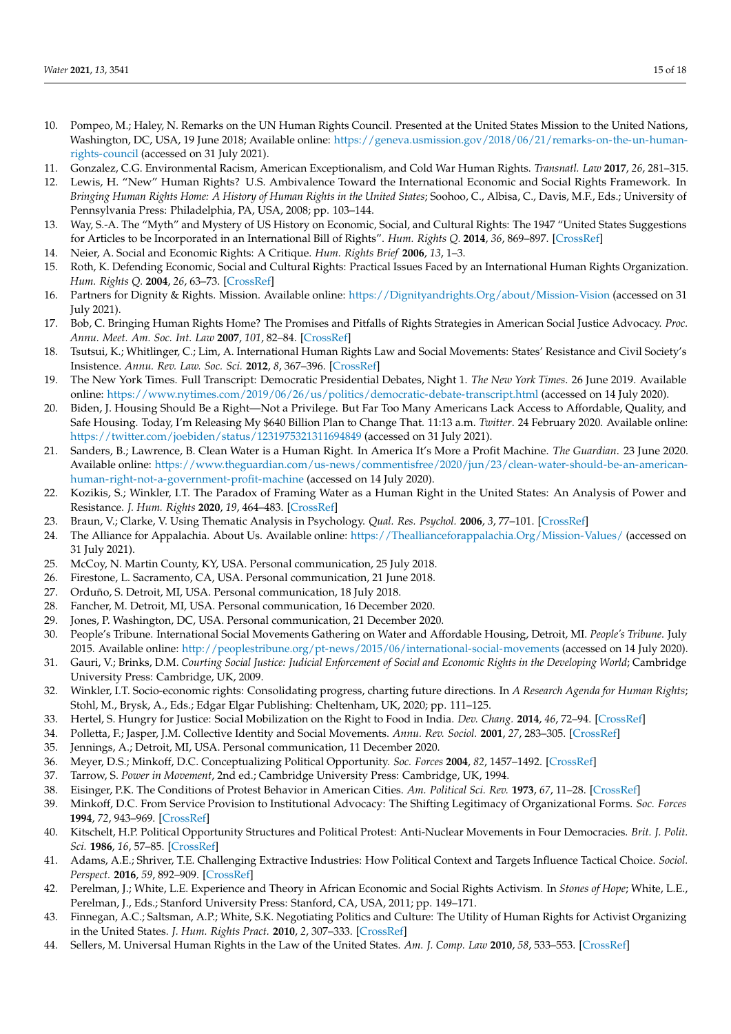- <span id="page-14-0"></span>10. Pompeo, M.; Haley, N. Remarks on the UN Human Rights Council. Presented at the United States Mission to the United Nations, Washington, DC, USA, 19 June 2018; Available online: [https://geneva.usmission.gov/2018/06/21/remarks-on-the-un-human](https://geneva.usmission.gov/2018/06/21/remarks-on-the-un-human-rights-council)[rights-council](https://geneva.usmission.gov/2018/06/21/remarks-on-the-un-human-rights-council) (accessed on 31 July 2021).
- <span id="page-14-1"></span>11. Gonzalez, C.G. Environmental Racism, American Exceptionalism, and Cold War Human Rights. *Transnatl. Law* **2017**, *26*, 281–315.
- <span id="page-14-2"></span>12. Lewis, H. "New" Human Rights? U.S. Ambivalence Toward the International Economic and Social Rights Framework. In *Bringing Human Rights Home: A History of Human Rights in the United States*; Soohoo, C., Albisa, C., Davis, M.F., Eds.; University of Pennsylvania Press: Philadelphia, PA, USA, 2008; pp. 103–144.
- <span id="page-14-3"></span>13. Way, S.-A. The "Myth" and Mystery of US History on Economic, Social, and Cultural Rights: The 1947 "United States Suggestions for Articles to be Incorporated in an International Bill of Rights". *Hum. Rights Q.* **2014**, *36*, 869–897. [\[CrossRef\]](http://doi.org/10.1353/hrq.2014.0052)
- <span id="page-14-4"></span>14. Neier, A. Social and Economic Rights: A Critique. *Hum. Rights Brief* **2006**, *13*, 1–3.
- <span id="page-14-5"></span>15. Roth, K. Defending Economic, Social and Cultural Rights: Practical Issues Faced by an International Human Rights Organization. *Hum. Rights Q.* **2004**, *26*, 63–73. [\[CrossRef\]](http://doi.org/10.1353/hrq.2004.0010)
- <span id="page-14-6"></span>16. Partners for Dignity & Rights. Mission. Available online: <https://Dignityandrights.Org/about/Mission-Vision> (accessed on 31 July 2021).
- 17. Bob, C. Bringing Human Rights Home? The Promises and Pitfalls of Rights Strategies in American Social Justice Advocacy. *Proc. Annu. Meet. Am. Soc. Int. Law* **2007**, *101*, 82–84. [\[CrossRef\]](http://doi.org/10.1017/S0272503700025246)
- <span id="page-14-7"></span>18. Tsutsui, K.; Whitlinger, C.; Lim, A. International Human Rights Law and Social Movements: States' Resistance and Civil Society's Insistence. *Annu. Rev. Law. Soc. Sci.* **2012**, *8*, 367–396. [\[CrossRef\]](http://doi.org/10.1146/annurev-lawsocsci-102811-173849)
- <span id="page-14-8"></span>19. The New York Times. Full Transcript: Democratic Presidential Debates, Night 1. *The New York Times*. 26 June 2019. Available online: <https://www.nytimes.com/2019/06/26/us/politics/democratic-debate-transcript.html> (accessed on 14 July 2020).
- <span id="page-14-9"></span>20. Biden, J. Housing Should Be a Right—Not a Privilege. But Far Too Many Americans Lack Access to Affordable, Quality, and Safe Housing. Today, I'm Releasing My \$640 Billion Plan to Change That. 11:13 a.m. *Twitter*. 24 February 2020. Available online: <https://twitter.com/joebiden/status/1231975321311694849> (accessed on 31 July 2021).
- <span id="page-14-10"></span>21. Sanders, B.; Lawrence, B. Clean Water is a Human Right. In America It's More a Profit Machine. *The Guardian*. 23 June 2020. Available online: [https://www.theguardian.com/us-news/commentisfree/2020/jun/23/clean-water-should-be-an-american](https://www.theguardian.com/us-news/commentisfree/2020/jun/23/clean-water-should-be-an-american-human-right-not-a-government-profit-machine)[human-right-not-a-government-profit-machine](https://www.theguardian.com/us-news/commentisfree/2020/jun/23/clean-water-should-be-an-american-human-right-not-a-government-profit-machine) (accessed on 14 July 2020).
- <span id="page-14-11"></span>22. Kozikis, S.; Winkler, I.T. The Paradox of Framing Water as a Human Right in the United States: An Analysis of Power and Resistance. *J. Hum. Rights* **2020**, *19*, 464–483. [\[CrossRef\]](http://doi.org/10.1080/14754835.2020.1803053)
- <span id="page-14-12"></span>23. Braun, V.; Clarke, V. Using Thematic Analysis in Psychology. *Qual. Res. Psychol.* **2006**, *3*, 77–101. [\[CrossRef\]](http://doi.org/10.1191/1478088706qp063oa)
- <span id="page-14-13"></span>24. The Alliance for Appalachia. About Us. Available online: <https://Theallianceforappalachia.Org/Mission-Values/> (accessed on 31 July 2021).
- <span id="page-14-14"></span>25. McCoy, N. Martin County, KY, USA. Personal communication, 25 July 2018.
- <span id="page-14-15"></span>26. Firestone, L. Sacramento, CA, USA. Personal communication, 21 June 2018.
- <span id="page-14-16"></span>27. Orduño, S. Detroit, MI, USA. Personal communication, 18 July 2018.
- <span id="page-14-17"></span>28. Fancher, M. Detroit, MI, USA. Personal communication, 16 December 2020.
- <span id="page-14-18"></span>29. Jones, P. Washington, DC, USA. Personal communication, 21 December 2020.
- <span id="page-14-19"></span>30. People's Tribune. International Social Movements Gathering on Water and Affordable Housing, Detroit, MI. *People's Tribune*. July 2015. Available online: <http://peoplestribune.org/pt-news/2015/06/international-social-movements> (accessed on 14 July 2020).
- <span id="page-14-20"></span>31. Gauri, V.; Brinks, D.M. Courting Social Justice: Judicial Enforcement of Social and Economic Rights in the Developing World; Cambridge University Press: Cambridge, UK, 2009.
- <span id="page-14-21"></span>32. Winkler, I.T. Socio-economic rights: Consolidating progress, charting future directions. In *A Research Agenda for Human Rights*; Stohl, M., Brysk, A., Eds.; Edgar Elgar Publishing: Cheltenham, UK, 2020; pp. 111–125.
- <span id="page-14-22"></span>33. Hertel, S. Hungry for Justice: Social Mobilization on the Right to Food in India. *Dev. Chang.* **2014**, *46*, 72–94. [\[CrossRef\]](http://doi.org/10.1111/dech.12144)
- <span id="page-14-23"></span>34. Polletta, F.; Jasper, J.M. Collective Identity and Social Movements. *Annu. Rev. Sociol.* **2001**, *27*, 283–305. [\[CrossRef\]](http://doi.org/10.1146/annurev.soc.27.1.283)
- <span id="page-14-24"></span>35. Jennings, A.; Detroit, MI, USA. Personal communication, 11 December 2020.
- <span id="page-14-25"></span>36. Meyer, D.S.; Minkoff, D.C. Conceptualizing Political Opportunity. *Soc. Forces* **2004**, *82*, 1457–1492. [\[CrossRef\]](http://doi.org/10.1353/sof.2004.0082)
- <span id="page-14-26"></span>37. Tarrow, S. *Power in Movement*, 2nd ed.; Cambridge University Press: Cambridge, UK, 1994.
- <span id="page-14-27"></span>38. Eisinger, P.K. The Conditions of Protest Behavior in American Cities. *Am. Political Sci. Rev.* **1973**, *67*, 11–28. [\[CrossRef\]](http://doi.org/10.2307/1958525)
- 39. Minkoff, D.C. From Service Provision to Institutional Advocacy: The Shifting Legitimacy of Organizational Forms. *Soc. Forces* **1994**, *72*, 943–969. [\[CrossRef\]](http://doi.org/10.2307/2580289)
- 40. Kitschelt, H.P. Political Opportunity Structures and Political Protest: Anti-Nuclear Movements in Four Democracies. *Brit. J. Polit. Sci.* **1986**, *16*, 57–85. [\[CrossRef\]](http://doi.org/10.1017/S000712340000380X)
- <span id="page-14-28"></span>41. Adams, A.E.; Shriver, T.E. Challenging Extractive Industries: How Political Context and Targets Influence Tactical Choice. *Sociol. Perspect.* **2016**, *59*, 892–909. [\[CrossRef\]](http://doi.org/10.1177/0731121416641683)
- <span id="page-14-29"></span>42. Perelman, J.; White, L.E. Experience and Theory in African Economic and Social Rights Activism. In *Stones of Hope*; White, L.E., Perelman, J., Eds.; Stanford University Press: Stanford, CA, USA, 2011; pp. 149–171.
- <span id="page-14-30"></span>43. Finnegan, A.C.; Saltsman, A.P.; White, S.K. Negotiating Politics and Culture: The Utility of Human Rights for Activist Organizing in the United States. *J. Hum. Rights Pract.* **2010**, *2*, 307–333. [\[CrossRef\]](http://doi.org/10.1093/jhuman/huq009)
- <span id="page-14-31"></span>44. Sellers, M. Universal Human Rights in the Law of the United States. *Am. J. Comp. Law* **2010**, *58*, 533–553. [\[CrossRef\]](http://doi.org/10.5131/ajcl.2009.0040)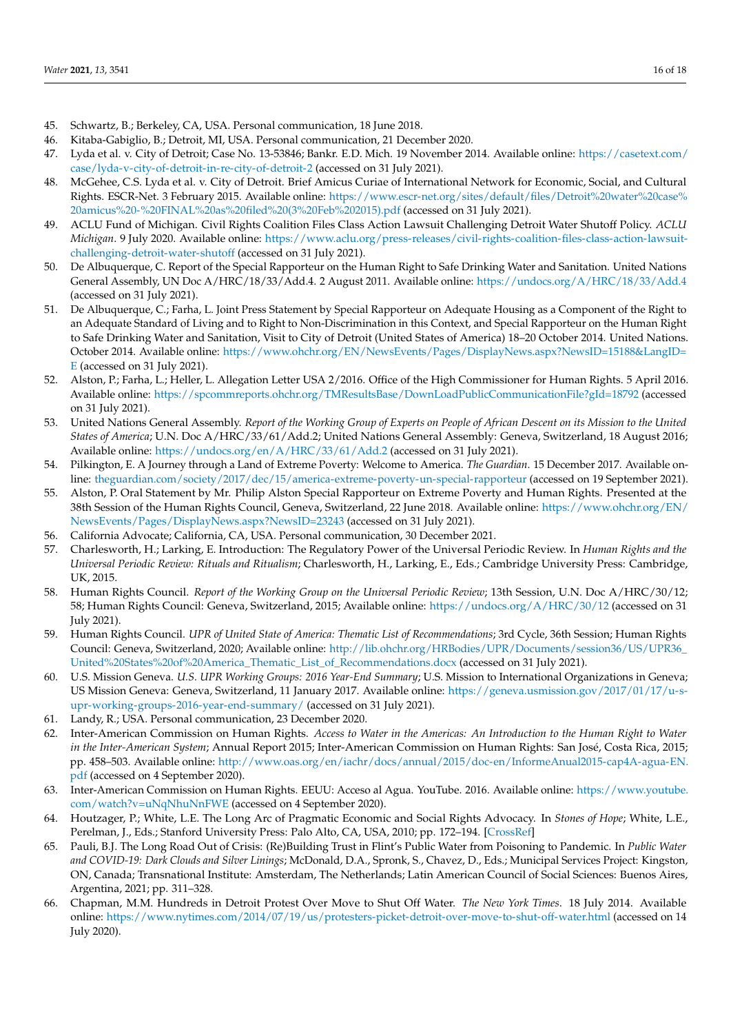- <span id="page-15-0"></span>45. Schwartz, B.; Berkeley, CA, USA. Personal communication, 18 June 2018.
- <span id="page-15-1"></span>46. Kitaba-Gabiglio, B.; Detroit, MI, USA. Personal communication, 21 December 2020.
- <span id="page-15-2"></span>47. Lyda et al. v. City of Detroit; Case No. 13-53846; Bankr. E.D. Mich. 19 November 2014. Available online: [https://casetext.com/](https://casetext.com/case/lyda-v-city-of-detroit-in-re-city-of-detroit-2) [case/lyda-v-city-of-detroit-in-re-city-of-detroit-2](https://casetext.com/case/lyda-v-city-of-detroit-in-re-city-of-detroit-2) (accessed on 31 July 2021).
- <span id="page-15-3"></span>48. McGehee, C.S. Lyda et al. v. City of Detroit. Brief Amicus Curiae of International Network for Economic, Social, and Cultural Rights. ESCR-Net. 3 February 2015. Available online: [https://www.escr-net.org/sites/default/files/Detroit%20water%20case%](https://www.escr-net.org/sites/default/files/Detroit%20water%20case%20amicus%20-%20FINAL%20as%20filed%20(3%20Feb%202015).pdf) [20amicus%20-%20FINAL%20as%20filed%20\(3%20Feb%202015\).pdf](https://www.escr-net.org/sites/default/files/Detroit%20water%20case%20amicus%20-%20FINAL%20as%20filed%20(3%20Feb%202015).pdf) (accessed on 31 July 2021).
- <span id="page-15-4"></span>49. ACLU Fund of Michigan. Civil Rights Coalition Files Class Action Lawsuit Challenging Detroit Water Shutoff Policy. *ACLU Michigan*. 9 July 2020. Available online: [https://www.aclu.org/press-releases/civil-rights-coalition-files-class-action-lawsuit](https://www.aclu.org/press-releases/civil-rights-coalition-files-class-action-lawsuit-challenging-detroit-water-shutoff)[challenging-detroit-water-shutoff](https://www.aclu.org/press-releases/civil-rights-coalition-files-class-action-lawsuit-challenging-detroit-water-shutoff) (accessed on 31 July 2021).
- <span id="page-15-5"></span>50. De Albuquerque, C. Report of the Special Rapporteur on the Human Right to Safe Drinking Water and Sanitation. United Nations General Assembly, UN Doc A/HRC/18/33/Add.4. 2 August 2011. Available online: <https://undocs.org/A/HRC/18/33/Add.4> (accessed on 31 July 2021).
- <span id="page-15-6"></span>51. De Albuquerque, C.; Farha, L. Joint Press Statement by Special Rapporteur on Adequate Housing as a Component of the Right to an Adequate Standard of Living and to Right to Non-Discrimination in this Context, and Special Rapporteur on the Human Right to Safe Drinking Water and Sanitation, Visit to City of Detroit (United States of America) 18–20 October 2014. United Nations. October 2014. Available online: [https://www.ohchr.org/EN/NewsEvents/Pages/DisplayNews.aspx?NewsID=15188&LangID=](https://www.ohchr.org/EN/NewsEvents/Pages/DisplayNews.aspx?NewsID=15188&LangID=E) [E](https://www.ohchr.org/EN/NewsEvents/Pages/DisplayNews.aspx?NewsID=15188&LangID=E) (accessed on 31 July 2021).
- <span id="page-15-7"></span>52. Alston, P.; Farha, L.; Heller, L. Allegation Letter USA 2/2016. Office of the High Commissioner for Human Rights. 5 April 2016. Available online: <https://spcommreports.ohchr.org/TMResultsBase/DownLoadPublicCommunicationFile?gId=18792> (accessed on 31 July 2021).
- <span id="page-15-8"></span>53. United Nations General Assembly. *Report of the Working Group of Experts on People of African Descent on its Mission to the United States of America*; U.N. Doc A/HRC/33/61/Add.2; United Nations General Assembly: Geneva, Switzerland, 18 August 2016; Available online: <https://undocs.org/en/A/HRC/33/61/Add.2> (accessed on 31 July 2021).
- <span id="page-15-9"></span>54. Pilkington, E. A Journey through a Land of Extreme Poverty: Welcome to America. *The Guardian*. 15 December 2017. Available online: <theguardian.com/society/2017/dec/15/america-extreme-poverty-un-special-rapporteur> (accessed on 19 September 2021).
- <span id="page-15-10"></span>55. Alston, P. Oral Statement by Mr. Philip Alston Special Rapporteur on Extreme Poverty and Human Rights. Presented at the 38th Session of the Human Rights Council, Geneva, Switzerland, 22 June 2018. Available online: [https://www.ohchr.org/EN/](https://www.ohchr.org/EN/NewsEvents/Pages/DisplayNews.aspx?NewsID=23243) [NewsEvents/Pages/DisplayNews.aspx?NewsID=23243](https://www.ohchr.org/EN/NewsEvents/Pages/DisplayNews.aspx?NewsID=23243) (accessed on 31 July 2021).
- <span id="page-15-11"></span>56. California Advocate; California, CA, USA. Personal communication, 30 December 2021.
- <span id="page-15-12"></span>57. Charlesworth, H.; Larking, E. Introduction: The Regulatory Power of the Universal Periodic Review. In *Human Rights and the Universal Periodic Review: Rituals and Ritualism*; Charlesworth, H., Larking, E., Eds.; Cambridge University Press: Cambridge, UK, 2015.
- <span id="page-15-13"></span>58. Human Rights Council. *Report of the Working Group on the Universal Periodic Review*; 13th Session, U.N. Doc A/HRC/30/12; 58; Human Rights Council: Geneva, Switzerland, 2015; Available online: <https://undocs.org/A/HRC/30/12> (accessed on 31 July 2021).
- <span id="page-15-14"></span>59. Human Rights Council. *UPR of United State of America: Thematic List of Recommendations*; 3rd Cycle, 36th Session; Human Rights Council: Geneva, Switzerland, 2020; Available online: [http://lib.ohchr.org/HRBodies/UPR/Documents/session36/US/UPR36\\_](http://lib.ohchr.org/HRBodies/UPR/Documents/session36/US/UPR36_United%20States%20of%20America_Thematic_List_of_Recommendations.docx) [United%20States%20of%20America\\_Thematic\\_List\\_of\\_Recommendations.docx](http://lib.ohchr.org/HRBodies/UPR/Documents/session36/US/UPR36_United%20States%20of%20America_Thematic_List_of_Recommendations.docx) (accessed on 31 July 2021).
- <span id="page-15-15"></span>60. U.S. Mission Geneva. *U.S. UPR Working Groups: 2016 Year-End Summary*; U.S. Mission to International Organizations in Geneva; US Mission Geneva: Geneva, Switzerland, 11 January 2017. Available online: [https://geneva.usmission.gov/2017/01/17/u-s](https://geneva.usmission.gov/2017/01/17/u-s-upr-working-groups-2016-year-end-summary/)[upr-working-groups-2016-year-end-summary/](https://geneva.usmission.gov/2017/01/17/u-s-upr-working-groups-2016-year-end-summary/) (accessed on 31 July 2021).
- <span id="page-15-16"></span>61. Landy, R.; USA. Personal communication, 23 December 2020.
- <span id="page-15-17"></span>62. Inter-American Commission on Human Rights. *Access to Water in the Americas: An Introduction to the Human Right to Water in the Inter-American System*; Annual Report 2015; Inter-American Commission on Human Rights: San José, Costa Rica, 2015; pp. 458–503. Available online: [http://www.oas.org/en/iachr/docs/annual/2015/doc-en/InformeAnual2015-cap4A-agua-EN.](http://www.oas.org/en/iachr/docs/annual/2015/doc-en/InformeAnual2015-cap4A-agua-EN.pdf) [pdf](http://www.oas.org/en/iachr/docs/annual/2015/doc-en/InformeAnual2015-cap4A-agua-EN.pdf) (accessed on 4 September 2020).
- <span id="page-15-18"></span>63. Inter-American Commission on Human Rights. EEUU: Acceso al Agua. YouTube. 2016. Available online: [https://www.youtube.](https://www.youtube.com/watch?v=uNqNhuNnFWE) [com/watch?v=uNqNhuNnFWE](https://www.youtube.com/watch?v=uNqNhuNnFWE) (accessed on 4 September 2020).
- <span id="page-15-19"></span>64. Houtzager, P.; White, L.E. The Long Arc of Pragmatic Economic and Social Rights Advocacy. In *Stones of Hope*; White, L.E., Perelman, J., Eds.; Stanford University Press: Palo Alto, CA, USA, 2010; pp. 172–194. [\[CrossRef\]](http://doi.org/10.1515/9780804776431-012)
- <span id="page-15-20"></span>65. Pauli, B.J. The Long Road Out of Crisis: (Re)Building Trust in Flint's Public Water from Poisoning to Pandemic. In *Public Water and COVID-19: Dark Clouds and Silver Linings*; McDonald, D.A., Spronk, S., Chavez, D., Eds.; Municipal Services Project: Kingston, ON, Canada; Transnational Institute: Amsterdam, The Netherlands; Latin American Council of Social Sciences: Buenos Aires, Argentina, 2021; pp. 311–328.
- <span id="page-15-21"></span>66. Chapman, M.M. Hundreds in Detroit Protest Over Move to Shut Off Water. *The New York Times*. 18 July 2014. Available online: <https://www.nytimes.com/2014/07/19/us/protesters-picket-detroit-over-move-to-shut-off-water.html> (accessed on 14 July 2020).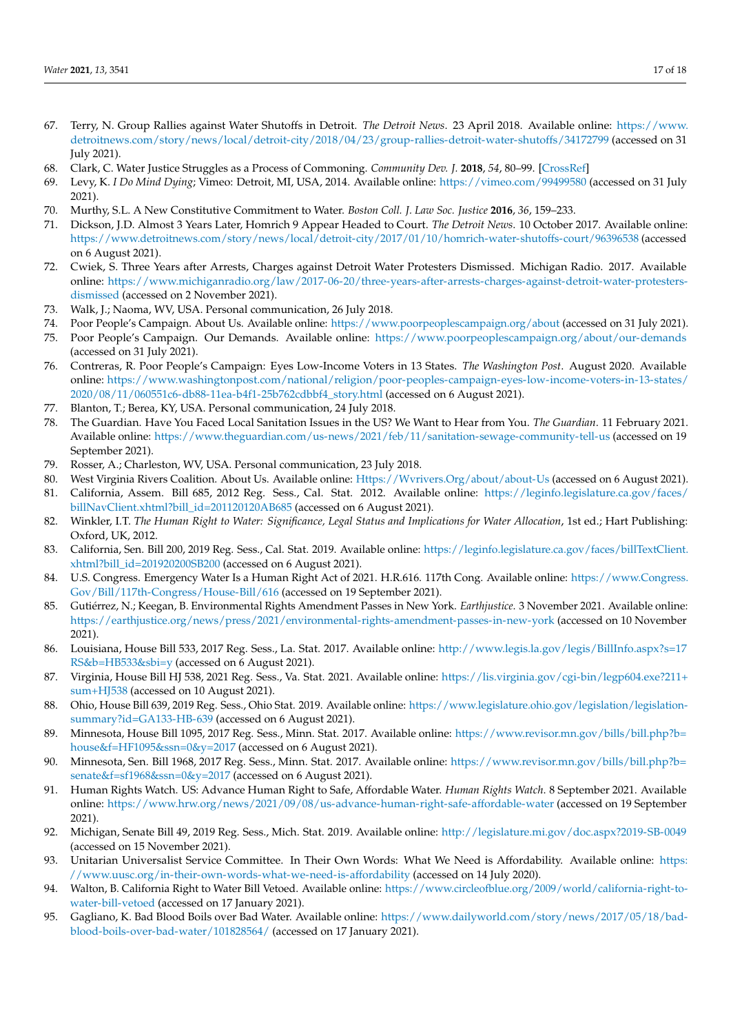- <span id="page-16-0"></span>67. Terry, N. Group Rallies against Water Shutoffs in Detroit. *The Detroit News*. 23 April 2018. Available online: [https://www.](https://www.detroitnews.com/story/news/local/detroit-city/2018/04/23/group-rallies-detroit-water-shutoffs/34172799) [detroitnews.com/story/news/local/detroit-city/2018/04/23/group-rallies-detroit-water-shutoffs/34172799](https://www.detroitnews.com/story/news/local/detroit-city/2018/04/23/group-rallies-detroit-water-shutoffs/34172799) (accessed on 31 July 2021).
- <span id="page-16-1"></span>68. Clark, C. Water Justice Struggles as a Process of Commoning. *Community Dev. J.* **2018**, *54*, 80–99. [\[CrossRef\]](http://doi.org/10.1093/cdj/bsy052)
- <span id="page-16-2"></span>69. Levy, K. *I Do Mind Dying*; Vimeo: Detroit, MI, USA, 2014. Available online: <https://vimeo.com/99499580> (accessed on 31 July 2021).
- <span id="page-16-3"></span>70. Murthy, S.L. A New Constitutive Commitment to Water. *Boston Coll. J. Law Soc. Justice* **2016**, *36*, 159–233.
- <span id="page-16-4"></span>71. Dickson, J.D. Almost 3 Years Later, Homrich 9 Appear Headed to Court. *The Detroit News*. 10 October 2017. Available online: <https://www.detroitnews.com/story/news/local/detroit-city/2017/01/10/homrich-water-shutoffs-court/96396538> (accessed on 6 August 2021).
- <span id="page-16-5"></span>72. Cwiek, S. Three Years after Arrests, Charges against Detroit Water Protesters Dismissed. Michigan Radio. 2017. Available online: [https://www.michiganradio.org/law/2017-06-20/three-years-after-arrests-charges-against-detroit-water-protesters](https://www.michiganradio.org/law/2017-06-20/three-years-after-arrests-charges-against-detroit-water-protesters-dismissed)[dismissed](https://www.michiganradio.org/law/2017-06-20/three-years-after-arrests-charges-against-detroit-water-protesters-dismissed) (accessed on 2 November 2021).
- <span id="page-16-6"></span>73. Walk, J.; Naoma, WV, USA. Personal communication, 26 July 2018.
- <span id="page-16-7"></span>74. Poor People's Campaign. About Us. Available online: <https://www.poorpeoplescampaign.org/about> (accessed on 31 July 2021).
- <span id="page-16-8"></span>75. Poor People's Campaign. Our Demands. Available online: <https://www.poorpeoplescampaign.org/about/our-demands> (accessed on 31 July 2021).
- <span id="page-16-9"></span>76. Contreras, R. Poor People's Campaign: Eyes Low-Income Voters in 13 States. *The Washington Post*. August 2020. Available online: [https://www.washingtonpost.com/national/religion/poor-peoples-campaign-eyes-low-income-voters-in-13-states/](https://www.washingtonpost.com/national/religion/poor-peoples-campaign-eyes-low-income-voters-in-13-states/2020/08/11/060551c6-db88-11ea-b4f1-25b762cdbbf4_story.html) [2020/08/11/060551c6-db88-11ea-b4f1-25b762cdbbf4\\_story.html](https://www.washingtonpost.com/national/religion/poor-peoples-campaign-eyes-low-income-voters-in-13-states/2020/08/11/060551c6-db88-11ea-b4f1-25b762cdbbf4_story.html) (accessed on 6 August 2021).
- <span id="page-16-10"></span>77. Blanton, T.; Berea, KY, USA. Personal communication, 24 July 2018.
- <span id="page-16-11"></span>78. The Guardian. Have You Faced Local Sanitation Issues in the US? We Want to Hear from You. *The Guardian*. 11 February 2021. Available online: <https://www.theguardian.com/us-news/2021/feb/11/sanitation-sewage-community-tell-us> (accessed on 19 September 2021).
- <span id="page-16-12"></span>79. Rosser, A.; Charleston, WV, USA. Personal communication, 23 July 2018.
- <span id="page-16-13"></span>80. West Virginia Rivers Coalition. About Us. Available online: Https://Wyrivers.Org/about/about-Us (accessed on 6 August 2021).
- <span id="page-16-14"></span>81. California, Assem. Bill 685, 2012 Reg. Sess., Cal. Stat. 2012. Available online: [https://leginfo.legislature.ca.gov/faces/](https://leginfo.legislature.ca.gov/faces/billNavClient.xhtml?bill_id=201120120AB685) [billNavClient.xhtml?bill\\_id=201120120AB685](https://leginfo.legislature.ca.gov/faces/billNavClient.xhtml?bill_id=201120120AB685) (accessed on 6 August 2021).
- <span id="page-16-15"></span>82. Winkler, I.T. *The Human Right to Water: Significance, Legal Status and Implications for Water Allocation*, 1st ed.; Hart Publishing: Oxford, UK, 2012.
- <span id="page-16-16"></span>83. California, Sen. Bill 200, 2019 Reg. Sess., Cal. Stat. 2019. Available online: [https://leginfo.legislature.ca.gov/faces/billTextClient.](https://leginfo.legislature.ca.gov/faces/billTextClient.xhtml?bill_id=201920200SB200) [xhtml?bill\\_id=201920200SB200](https://leginfo.legislature.ca.gov/faces/billTextClient.xhtml?bill_id=201920200SB200) (accessed on 6 August 2021).
- <span id="page-16-17"></span>84. U.S. Congress. Emergency Water Is a Human Right Act of 2021. H.R.616. 117th Cong. Available online: [https://www.Congress.](https://www.Congress.Gov/Bill/117th-Congress/House-Bill/616) [Gov/Bill/117th-Congress/House-Bill/616](https://www.Congress.Gov/Bill/117th-Congress/House-Bill/616) (accessed on 19 September 2021).
- <span id="page-16-18"></span>85. Gutiérrez, N.; Keegan, B. Environmental Rights Amendment Passes in New York. *Earthjustice*. 3 November 2021. Available online: <https://earthjustice.org/news/press/2021/environmental-rights-amendment-passes-in-new-york> (accessed on 10 November 2021).
- <span id="page-16-19"></span>86. Louisiana, House Bill 533, 2017 Reg. Sess., La. Stat. 2017. Available online: [http://www.legis.la.gov/legis/BillInfo.aspx?s=17](http://www.legis.la.gov/legis/BillInfo.aspx?s=17RS&b=HB533&sbi=y) [RS&b=HB533&sbi=y](http://www.legis.la.gov/legis/BillInfo.aspx?s=17RS&b=HB533&sbi=y) (accessed on 6 August 2021).
- <span id="page-16-20"></span>87. Virginia, House Bill HJ 538, 2021 Reg. Sess., Va. Stat. 2021. Available online: [https://lis.virginia.gov/cgi-bin/legp604.exe?211+](https://lis.virginia.gov/cgi-bin/legp604.exe?211+sum+HJ538) [sum+HJ538](https://lis.virginia.gov/cgi-bin/legp604.exe?211+sum+HJ538) (accessed on 10 August 2021).
- <span id="page-16-21"></span>88. Ohio, House Bill 639, 2019 Reg. Sess., Ohio Stat. 2019. Available online: [https://www.legislature.ohio.gov/legislation/legislation](https://www.legislature.ohio.gov/legislation/legislation-summary?id=GA133-HB-639)[summary?id=GA133-HB-639](https://www.legislature.ohio.gov/legislation/legislation-summary?id=GA133-HB-639) (accessed on 6 August 2021).
- <span id="page-16-22"></span>89. Minnesota, House Bill 1095, 2017 Reg. Sess., Minn. Stat. 2017. Available online: [https://www.revisor.mn.gov/bills/bill.php?b=](https://www.revisor.mn.gov/bills/bill.php?b=house&f=HF1095&ssn=0&y=2017) [house&f=HF1095&ssn=0&y=2017](https://www.revisor.mn.gov/bills/bill.php?b=house&f=HF1095&ssn=0&y=2017) (accessed on 6 August 2021).
- <span id="page-16-23"></span>90. Minnesota, Sen. Bill 1968, 2017 Reg. Sess., Minn. Stat. 2017. Available online: [https://www.revisor.mn.gov/bills/bill.php?b=](https://www.revisor.mn.gov/bills/bill.php?b=senate&f=sf1968&ssn=0&y=2017) [senate&f=sf1968&ssn=0&y=2017](https://www.revisor.mn.gov/bills/bill.php?b=senate&f=sf1968&ssn=0&y=2017) (accessed on 6 August 2021).
- <span id="page-16-24"></span>91. Human Rights Watch. US: Advance Human Right to Safe, Affordable Water. *Human Rights Watch*. 8 September 2021. Available online: <https://www.hrw.org/news/2021/09/08/us-advance-human-right-safe-affordable-water> (accessed on 19 September 2021).
- <span id="page-16-25"></span>92. Michigan, Senate Bill 49, 2019 Reg. Sess., Mich. Stat. 2019. Available online: <http://legislature.mi.gov/doc.aspx?2019-SB-0049> (accessed on 15 November 2021).
- <span id="page-16-26"></span>93. Unitarian Universalist Service Committee. In Their Own Words: What We Need is Affordability. Available online: [https:](https://www.uusc.org/in-their-own-words-what-we-need-is-affordability) [//www.uusc.org/in-their-own-words-what-we-need-is-affordability](https://www.uusc.org/in-their-own-words-what-we-need-is-affordability) (accessed on 14 July 2020).
- <span id="page-16-27"></span>94. Walton, B. California Right to Water Bill Vetoed. Available online: [https://www.circleofblue.org/2009/world/california-right-to](https://www.circleofblue.org/2009/world/california-right-to-water-bill-vetoed)[water-bill-vetoed](https://www.circleofblue.org/2009/world/california-right-to-water-bill-vetoed) (accessed on 17 January 2021).
- <span id="page-16-28"></span>95. Gagliano, K. Bad Blood Boils over Bad Water. Available online: [https://www.dailyworld.com/story/news/2017/05/18/bad](https://www.dailyworld.com/story/news/2017/05/18/bad-blood-boils-over-bad-water/101828564/)[blood-boils-over-bad-water/101828564/](https://www.dailyworld.com/story/news/2017/05/18/bad-blood-boils-over-bad-water/101828564/) (accessed on 17 January 2021).